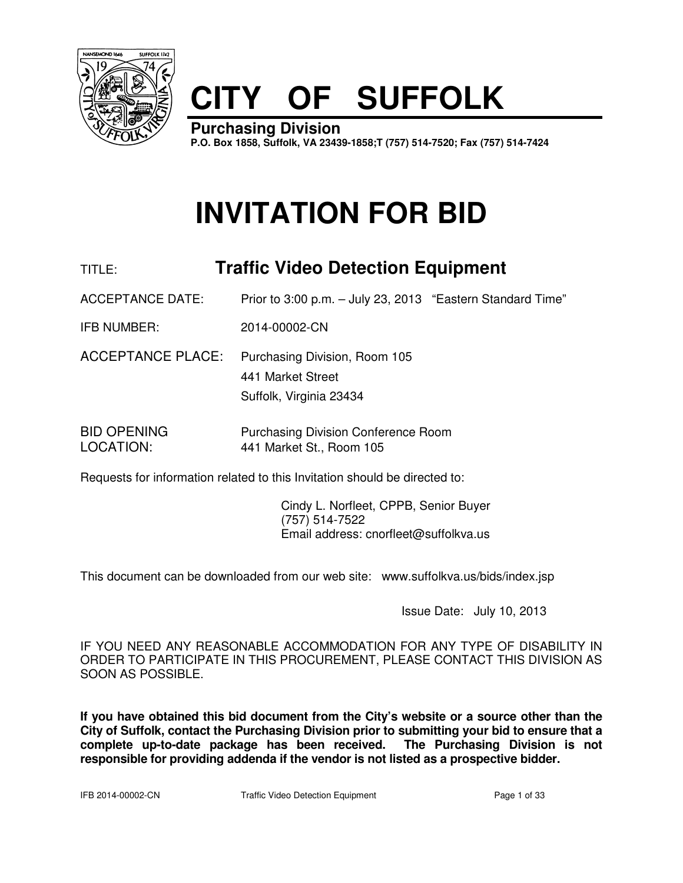

# **CITY OF SUFFOLK**

**Purchasing Division P.O. Box 1858, Suffolk, VA 23439-1858;T (757) 514-7520; Fax (757) 514-7424**

# **INVITATION FOR BID**

### TITLE: **Traffic Video Detection Equipment**

ACCEPTANCE DATE: Prior to 3:00 p.m. - July 23, 2013 "Eastern Standard Time"

IFB NUMBER: 2014-00002-CN

ACCEPTANCE PLACE: Purchasing Division, Room 105 441 Market Street Suffolk, Virginia 23434

BID OPENING Purchasing Division Conference Room LOCATION: 441 Market St., Room 105

Requests for information related to this Invitation should be directed to:

 Cindy L. Norfleet, CPPB, Senior Buyer (757) 514-7522 Email address: cnorfleet@suffolkva.us

This document can be downloaded from our web site: www.suffolkva.us/bids/index.jsp

Issue Date: July 10, 2013

IF YOU NEED ANY REASONABLE ACCOMMODATION FOR ANY TYPE OF DISABILITY IN ORDER TO PARTICIPATE IN THIS PROCUREMENT, PLEASE CONTACT THIS DIVISION AS SOON AS POSSIBLE.

**If you have obtained this bid document from the City's website or a source other than the City of Suffolk, contact the Purchasing Division prior to submitting your bid to ensure that a complete up-to-date package has been received. The Purchasing Division is not responsible for providing addenda if the vendor is not listed as a prospective bidder.**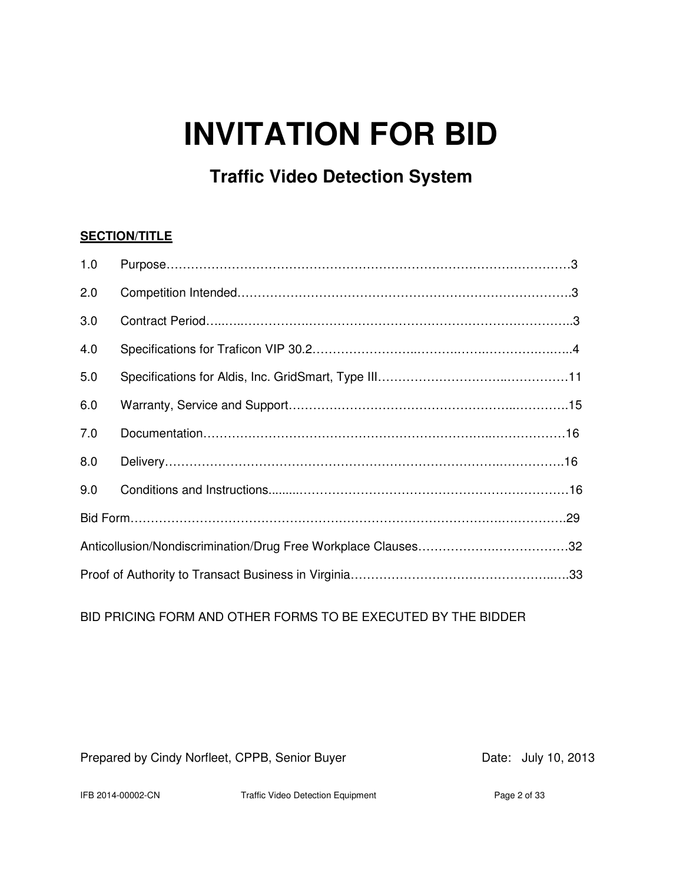# **INVITATION FOR BID**

## **Traffic Video Detection System**

### **SECTION/TITLE**

| 1.0 |  |  |  |
|-----|--|--|--|
| 2.0 |  |  |  |
| 3.0 |  |  |  |
| 4.0 |  |  |  |
| 5.0 |  |  |  |
| 6.0 |  |  |  |
| 7.0 |  |  |  |
| 8.0 |  |  |  |
| 9.0 |  |  |  |
|     |  |  |  |
|     |  |  |  |
|     |  |  |  |

BID PRICING FORM AND OTHER FORMS TO BE EXECUTED BY THE BIDDER

Prepared by Cindy Norfleet, CPPB, Senior Buyer Date: July 10, 2013

IFB 2014-00002-CN Traffic Video Detection Equipment Page 2 of 33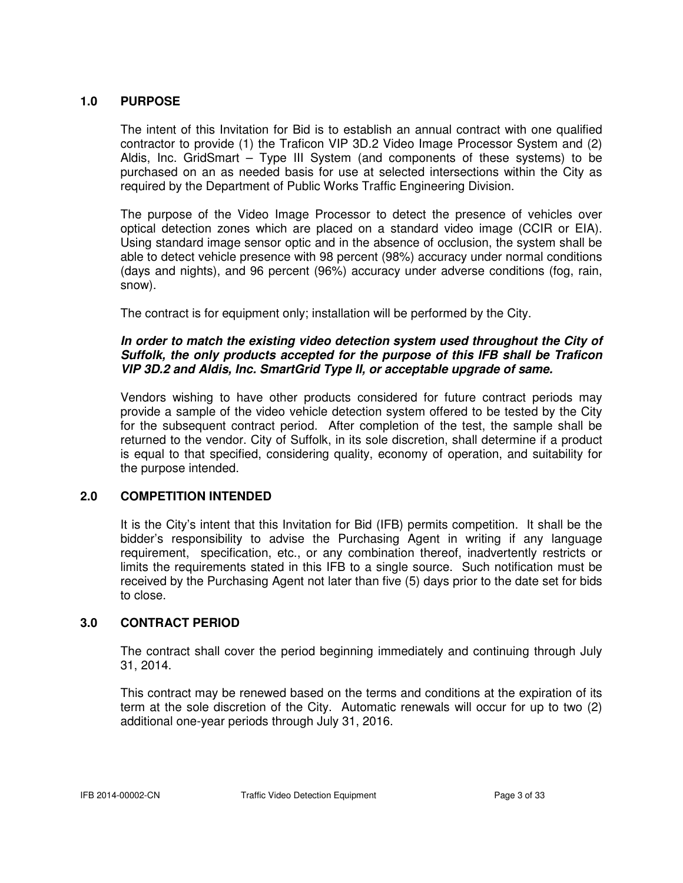#### **1.0 PURPOSE**

 The intent of this Invitation for Bid is to establish an annual contract with one qualified contractor to provide (1) the Traficon VIP 3D.2 Video Image Processor System and (2) Aldis, Inc. GridSmart – Type III System (and components of these systems) to be purchased on an as needed basis for use at selected intersections within the City as required by the Department of Public Works Traffic Engineering Division.

 The purpose of the Video Image Processor to detect the presence of vehicles over optical detection zones which are placed on a standard video image (CCIR or EIA). Using standard image sensor optic and in the absence of occlusion, the system shall be able to detect vehicle presence with 98 percent (98%) accuracy under normal conditions (days and nights), and 96 percent (96%) accuracy under adverse conditions (fog, rain, snow).

The contract is for equipment only; installation will be performed by the City.

#### **In order to match the existing video detection system used throughout the City of Suffolk, the only products accepted for the purpose of this IFB shall be Traficon VIP 3D.2 and Aldis, Inc. SmartGrid Type II, or acceptable upgrade of same.**

Vendors wishing to have other products considered for future contract periods may provide a sample of the video vehicle detection system offered to be tested by the City for the subsequent contract period. After completion of the test, the sample shall be returned to the vendor. City of Suffolk, in its sole discretion, shall determine if a product is equal to that specified, considering quality, economy of operation, and suitability for the purpose intended.

#### **2.0 COMPETITION INTENDED**

It is the City's intent that this Invitation for Bid (IFB) permits competition. It shall be the bidder's responsibility to advise the Purchasing Agent in writing if any language requirement, specification, etc., or any combination thereof, inadvertently restricts or limits the requirements stated in this IFB to a single source. Such notification must be received by the Purchasing Agent not later than five (5) days prior to the date set for bids to close.

#### **3.0 CONTRACT PERIOD**

The contract shall cover the period beginning immediately and continuing through July 31, 2014.

This contract may be renewed based on the terms and conditions at the expiration of its term at the sole discretion of the City. Automatic renewals will occur for up to two (2) additional one-year periods through July 31, 2016.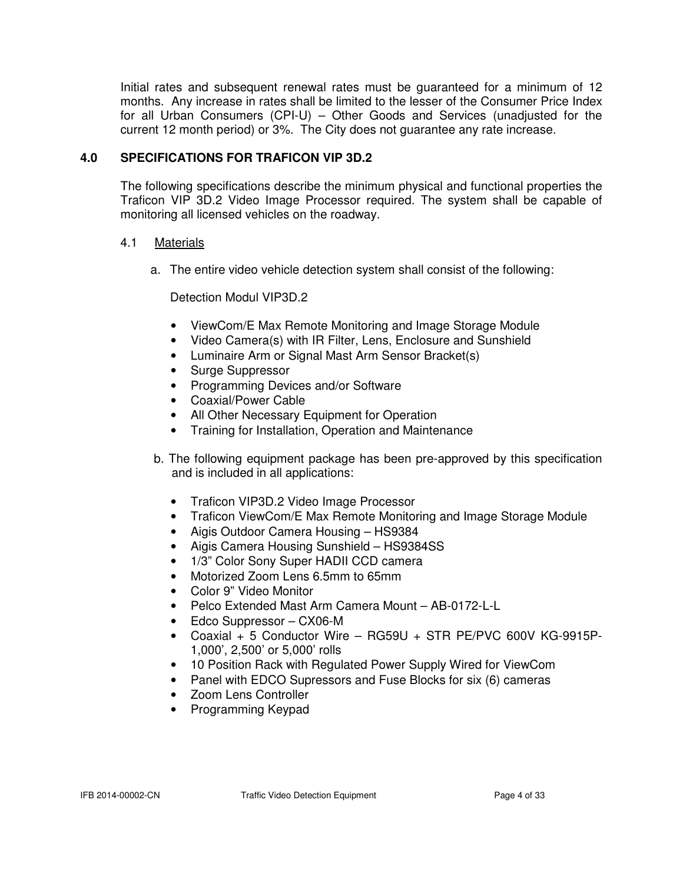Initial rates and subsequent renewal rates must be guaranteed for a minimum of 12 months. Any increase in rates shall be limited to the lesser of the Consumer Price Index for all Urban Consumers (CPI-U) – Other Goods and Services (unadjusted for the current 12 month period) or 3%. The City does not guarantee any rate increase.

### **4.0 SPECIFICATIONS FOR TRAFICON VIP 3D.2**

 The following specifications describe the minimum physical and functional properties the Traficon VIP 3D.2 Video Image Processor required. The system shall be capable of monitoring all licensed vehicles on the roadway.

#### 4.1 Materials

a. The entire video vehicle detection system shall consist of the following:

#### Detection Modul VIP3D.2

- ViewCom/E Max Remote Monitoring and Image Storage Module
- Video Camera(s) with IR Filter, Lens, Enclosure and Sunshield
- Luminaire Arm or Signal Mast Arm Sensor Bracket(s)
- Surge Suppressor
- Programming Devices and/or Software
- Coaxial/Power Cable
- All Other Necessary Equipment for Operation
- Training for Installation, Operation and Maintenance
- b. The following equipment package has been pre-approved by this specification and is included in all applications:
	- Traficon VIP3D.2 Video Image Processor
	- Traficon ViewCom/E Max Remote Monitoring and Image Storage Module
	- Aigis Outdoor Camera Housing HS9384
	- Aigis Camera Housing Sunshield HS9384SS
	- 1/3" Color Sony Super HADII CCD camera
	- Motorized Zoom Lens 6.5mm to 65mm
	- Color 9" Video Monitor
	- Pelco Extended Mast Arm Camera Mount AB-0172-L-L
	- Edco Suppressor CX06-M
	- Coaxial + 5 Conductor Wire RG59U + STR PE/PVC 600V KG-9915P-1,000', 2,500' or 5,000' rolls
	- 10 Position Rack with Regulated Power Supply Wired for ViewCom
	- Panel with EDCO Supressors and Fuse Blocks for six (6) cameras
	- Zoom Lens Controller
	- Programming Keypad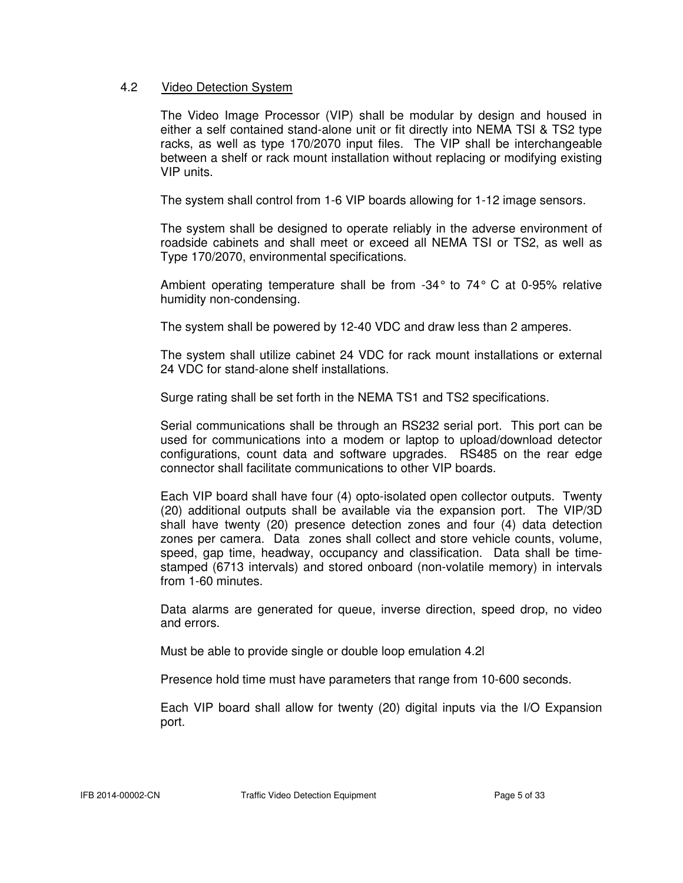#### 4.2 Video Detection System

The Video Image Processor (VIP) shall be modular by design and housed in either a self contained stand-alone unit or fit directly into NEMA TSI & TS2 type racks, as well as type 170/2070 input files. The VIP shall be interchangeable between a shelf or rack mount installation without replacing or modifying existing VIP units.

The system shall control from 1-6 VIP boards allowing for 1-12 image sensors.

 The system shall be designed to operate reliably in the adverse environment of roadside cabinets and shall meet or exceed all NEMA TSI or TS2, as well as Type 170/2070, environmental specifications.

 Ambient operating temperature shall be from -34° to 74° C at 0-95% relative humidity non-condensing.

The system shall be powered by 12-40 VDC and draw less than 2 amperes.

 The system shall utilize cabinet 24 VDC for rack mount installations or external 24 VDC for stand-alone shelf installations.

Surge rating shall be set forth in the NEMA TS1 and TS2 specifications.

 Serial communications shall be through an RS232 serial port. This port can be used for communications into a modem or laptop to upload/download detector configurations, count data and software upgrades. RS485 on the rear edge connector shall facilitate communications to other VIP boards.

 Each VIP board shall have four (4) opto-isolated open collector outputs. Twenty (20) additional outputs shall be available via the expansion port. The VIP/3D shall have twenty (20) presence detection zones and four (4) data detection zones per camera. Data zones shall collect and store vehicle counts, volume, speed, gap time, headway, occupancy and classification. Data shall be time stamped (6713 intervals) and stored onboard (non-volatile memory) in intervals from 1-60 minutes.

 Data alarms are generated for queue, inverse direction, speed drop, no video and errors.

Must be able to provide single or double loop emulation 4.2l

Presence hold time must have parameters that range from 10-600 seconds.

 Each VIP board shall allow for twenty (20) digital inputs via the I/O Expansion port.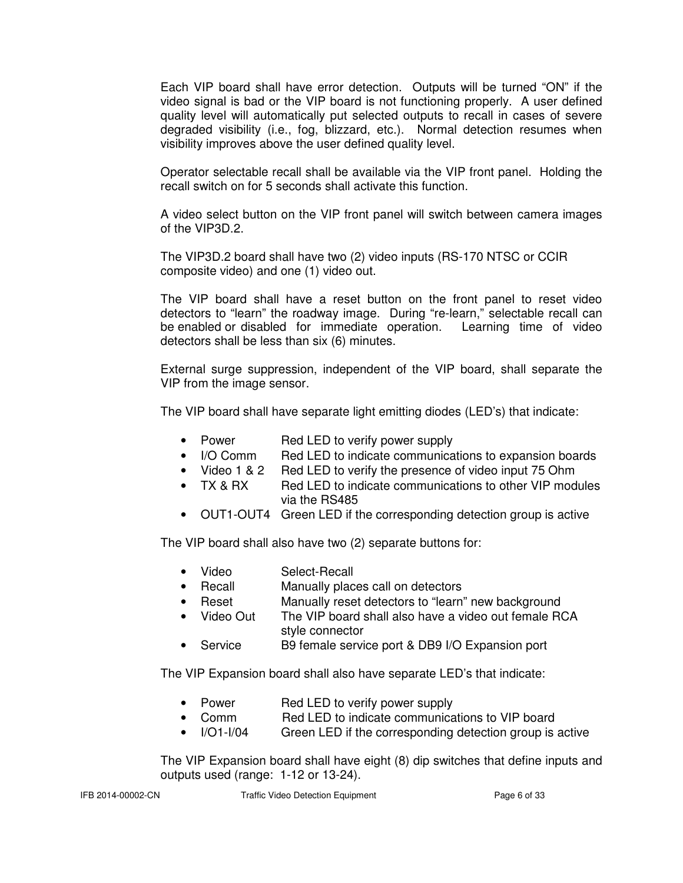Each VIP board shall have error detection. Outputs will be turned "ON" if the video signal is bad or the VIP board is not functioning properly. A user defined quality level will automatically put selected outputs to recall in cases of severe degraded visibility (i.e., fog, blizzard, etc.). Normal detection resumes when visibility improves above the user defined quality level.

 Operator selectable recall shall be available via the VIP front panel. Holding the recall switch on for 5 seconds shall activate this function.

 A video select button on the VIP front panel will switch between camera images of the VIP3D.2.

 The VIP3D.2 board shall have two (2) video inputs (RS-170 NTSC or CCIR composite video) and one (1) video out.

 The VIP board shall have a reset button on the front panel to reset video detectors to "learn" the roadway image. During "re-learn," selectable recall can be enabled or disabled for immediate operation. Learning time of video detectors shall be less than six (6) minutes.

 External surge suppression, independent of the VIP board, shall separate the VIP from the image sensor.

The VIP board shall have separate light emitting diodes (LED's) that indicate:

- Power Red LED to verify power supply
- I/O Comm Red LED to indicate communications to expansion boards
- Video 1 & 2 Red LED to verify the presence of video input 75 Ohm
- TX & RX Red LED to indicate communications to other VIP modules via the RS485
- OUT1-OUT4 Green LED if the corresponding detection group is active

The VIP board shall also have two (2) separate buttons for:

- Video Select-Recall
- Recall Manually places call on detectors
- Reset Manually reset detectors to "learn" new background
- Video Out The VIP board shall also have a video out female RCA style connector
- Service B9 female service port & DB9 I/O Expansion port

The VIP Expansion board shall also have separate LED's that indicate:

- Power **Red LED** to verify power supply
- Comm Red LED to indicate communications to VIP board
- I/O1-I/04 Green LED if the corresponding detection group is active

 The VIP Expansion board shall have eight (8) dip switches that define inputs and outputs used (range: 1-12 or 13-24).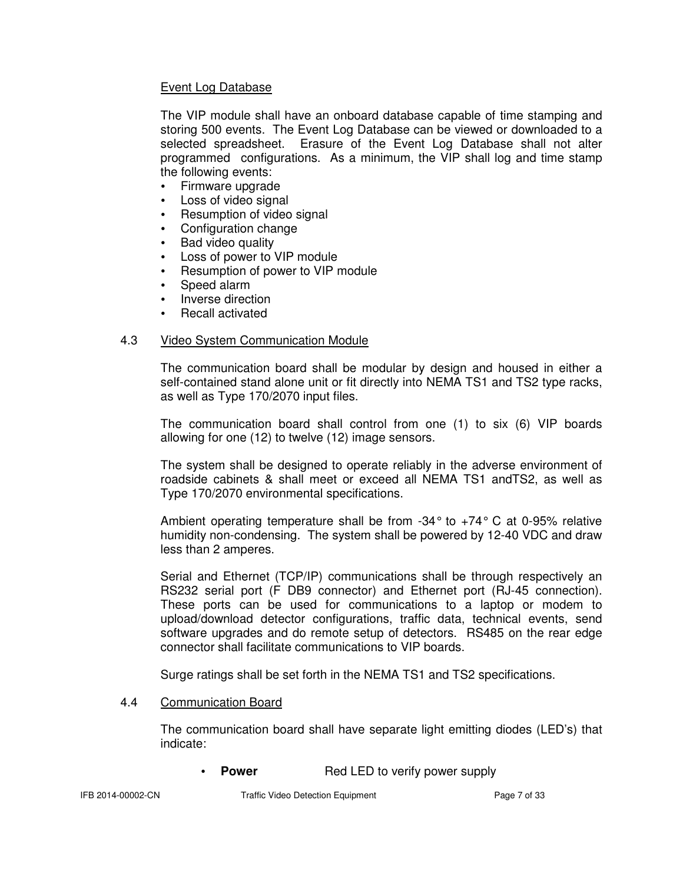#### Event Log Database

 The VIP module shall have an onboard database capable of time stamping and storing 500 events. The Event Log Database can be viewed or downloaded to a selected spreadsheet. Erasure of the Event Log Database shall not alter programmed configurations. As a minimum, the VIP shall log and time stamp the following events:

- Firmware upgrade
- Loss of video signal
- Resumption of video signal
- Configuration change
- Bad video quality
- Loss of power to VIP module
- Resumption of power to VIP module
- Speed alarm
- Inverse direction
- Recall activated

#### 4.3 Video System Communication Module

 The communication board shall be modular by design and housed in either a self-contained stand alone unit or fit directly into NEMA TS1 and TS2 type racks, as well as Type 170/2070 input files.

 The communication board shall control from one (1) to six (6) VIP boards allowing for one (12) to twelve (12) image sensors.

 The system shall be designed to operate reliably in the adverse environment of roadside cabinets & shall meet or exceed all NEMA TS1 andTS2, as well as Type 170/2070 environmental specifications.

 Ambient operating temperature shall be from -34° to +74° C at 0-95% relative humidity non-condensing. The system shall be powered by 12-40 VDC and draw less than 2 amperes.

 Serial and Ethernet (TCP/IP) communications shall be through respectively an RS232 serial port (F DB9 connector) and Ethernet port (RJ-45 connection). These ports can be used for communications to a laptop or modem to upload/download detector configurations, traffic data, technical events, send software upgrades and do remote setup of detectors. RS485 on the rear edge connector shall facilitate communications to VIP boards.

Surge ratings shall be set forth in the NEMA TS1 and TS2 specifications.

#### 4.4 Communication Board

 The communication board shall have separate light emitting diodes (LED's) that indicate:

**Power** Red LED to verify power supply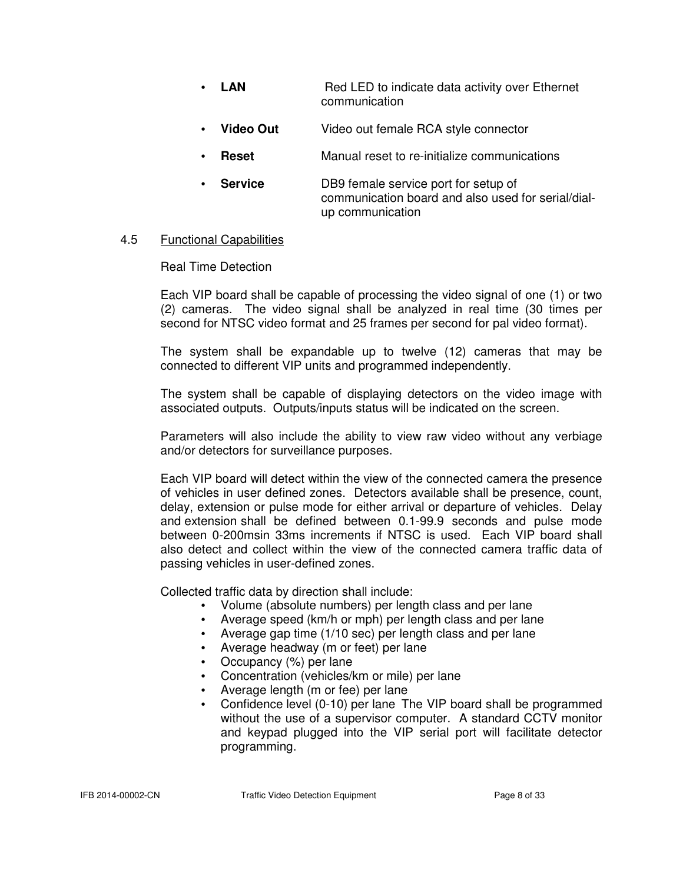- LAN Red LED to indicate data activity over Ethernet communication
- **Video Out** Video out female RCA style connector
- **Reset** Manual reset to re-initialize communications
- **Service** DB9 female service port for setup of communication board and also used for serial/dial up communication

#### 4.5 Functional Capabilities

Real Time Detection

 Each VIP board shall be capable of processing the video signal of one (1) or two (2) cameras. The video signal shall be analyzed in real time (30 times per second for NTSC video format and 25 frames per second for pal video format).

 The system shall be expandable up to twelve (12) cameras that may be connected to different VIP units and programmed independently.

 The system shall be capable of displaying detectors on the video image with associated outputs. Outputs/inputs status will be indicated on the screen.

 Parameters will also include the ability to view raw video without any verbiage and/or detectors for surveillance purposes.

 Each VIP board will detect within the view of the connected camera the presence of vehicles in user defined zones. Detectors available shall be presence, count, delay, extension or pulse mode for either arrival or departure of vehicles. Delay and extension shall be defined between 0.1-99.9 seconds and pulse mode between 0-200msin 33ms increments if NTSC is used. Each VIP board shall also detect and collect within the view of the connected camera traffic data of passing vehicles in user-defined zones.

Collected traffic data by direction shall include:

- Volume (absolute numbers) per length class and per lane
- Average speed (km/h or mph) per length class and per lane
- Average gap time (1/10 sec) per length class and per lane
- Average headway (m or feet) per lane
- Occupancy (%) per lane
- Concentration (vehicles/km or mile) per lane
- Average length (m or fee) per lane
- Confidence level (0-10) per lane The VIP board shall be programmed without the use of a supervisor computer. A standard CCTV monitor and keypad plugged into the VIP serial port will facilitate detector programming.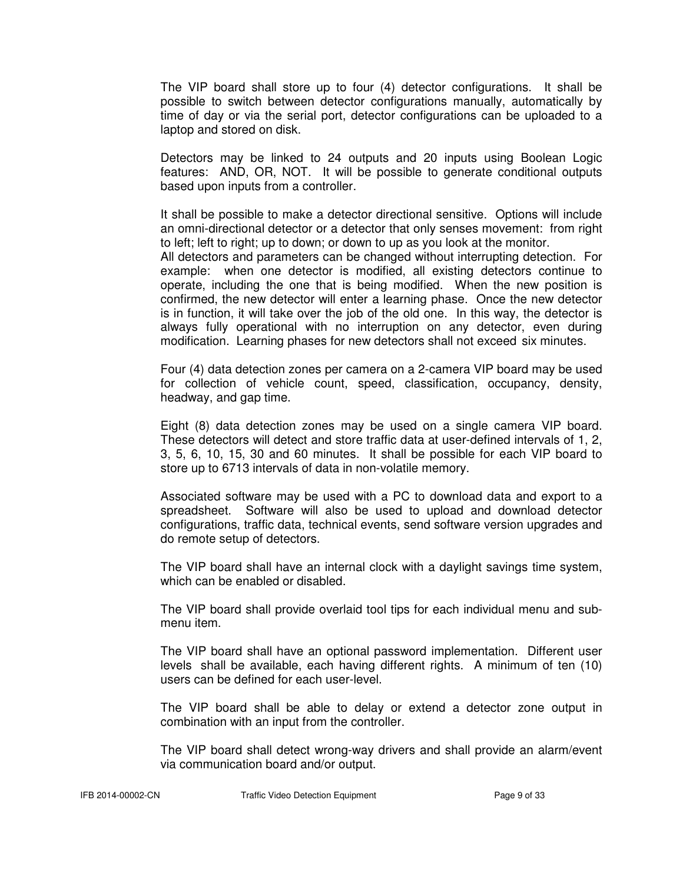The VIP board shall store up to four (4) detector configurations. It shall be possible to switch between detector configurations manually, automatically by time of day or via the serial port, detector configurations can be uploaded to a laptop and stored on disk.

 Detectors may be linked to 24 outputs and 20 inputs using Boolean Logic features: AND, OR, NOT. It will be possible to generate conditional outputs based upon inputs from a controller.

 It shall be possible to make a detector directional sensitive. Options will include an omni-directional detector or a detector that only senses movement: from right to left; left to right; up to down; or down to up as you look at the monitor.

 All detectors and parameters can be changed without interrupting detection. For example: when one detector is modified, all existing detectors continue to operate, including the one that is being modified. When the new position is confirmed, the new detector will enter a learning phase. Once the new detector is in function, it will take over the job of the old one. In this way, the detector is always fully operational with no interruption on any detector, even during modification. Learning phases for new detectors shall not exceed six minutes.

 Four (4) data detection zones per camera on a 2-camera VIP board may be used for collection of vehicle count, speed, classification, occupancy, density, headway, and gap time.

 Eight (8) data detection zones may be used on a single camera VIP board. These detectors will detect and store traffic data at user-defined intervals of 1, 2, 3, 5, 6, 10, 15, 30 and 60 minutes. It shall be possible for each VIP board to store up to 6713 intervals of data in non-volatile memory.

 Associated software may be used with a PC to download data and export to a spreadsheet. Software will also be used to upload and download detector configurations, traffic data, technical events, send software version upgrades and do remote setup of detectors.

 The VIP board shall have an internal clock with a daylight savings time system, which can be enabled or disabled.

 The VIP board shall provide overlaid tool tips for each individual menu and sub menu item.

 The VIP board shall have an optional password implementation. Different user levels shall be available, each having different rights. A minimum of ten (10) users can be defined for each user-level.

 The VIP board shall be able to delay or extend a detector zone output in combination with an input from the controller.

 The VIP board shall detect wrong-way drivers and shall provide an alarm/event via communication board and/or output.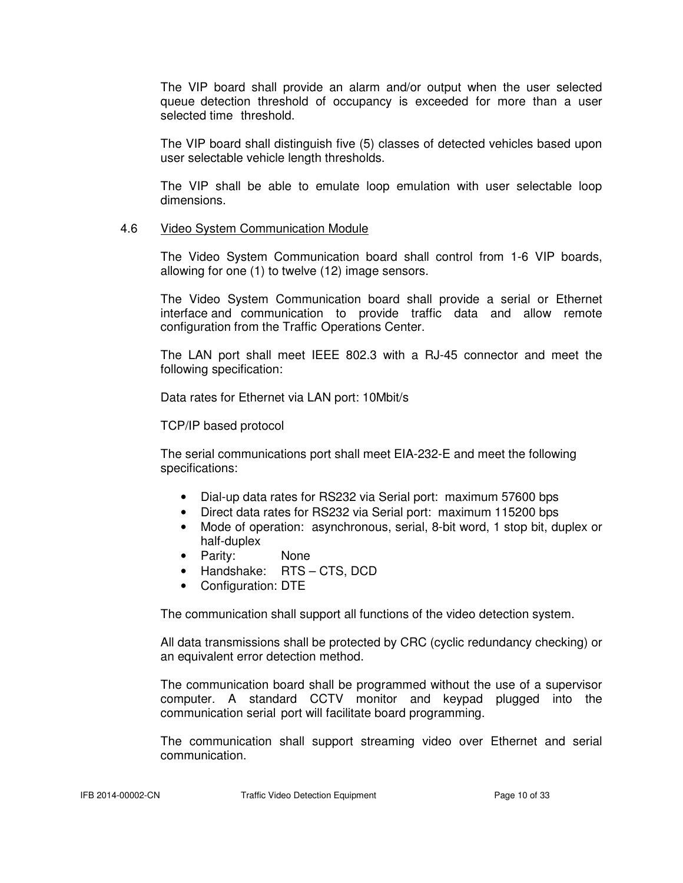The VIP board shall provide an alarm and/or output when the user selected queue detection threshold of occupancy is exceeded for more than a user selected time threshold.

 The VIP board shall distinguish five (5) classes of detected vehicles based upon user selectable vehicle length thresholds.

 The VIP shall be able to emulate loop emulation with user selectable loop dimensions.

#### 4.6 Video System Communication Module

 The Video System Communication board shall control from 1-6 VIP boards, allowing for one (1) to twelve (12) image sensors.

 The Video System Communication board shall provide a serial or Ethernet interface and communication to provide traffic data and allow remote configuration from the Traffic Operations Center.

 The LAN port shall meet IEEE 802.3 with a RJ-45 connector and meet the following specification:

Data rates for Ethernet via LAN port: 10Mbit/s

TCP/IP based protocol

 The serial communications port shall meet EIA-232-E and meet the following specifications:

- Dial-up data rates for RS232 via Serial port: maximum 57600 bps
- Direct data rates for RS232 via Serial port: maximum 115200 bps
- Mode of operation: asynchronous, serial, 8-bit word, 1 stop bit, duplex or half-duplex
- Parity: None
- Handshake: RTS CTS, DCD
- Configuration: DTE

The communication shall support all functions of the video detection system.

 All data transmissions shall be protected by CRC (cyclic redundancy checking) or an equivalent error detection method.

 The communication board shall be programmed without the use of a supervisor computer. A standard CCTV monitor and keypad plugged into the communication serial port will facilitate board programming.

 The communication shall support streaming video over Ethernet and serial communication.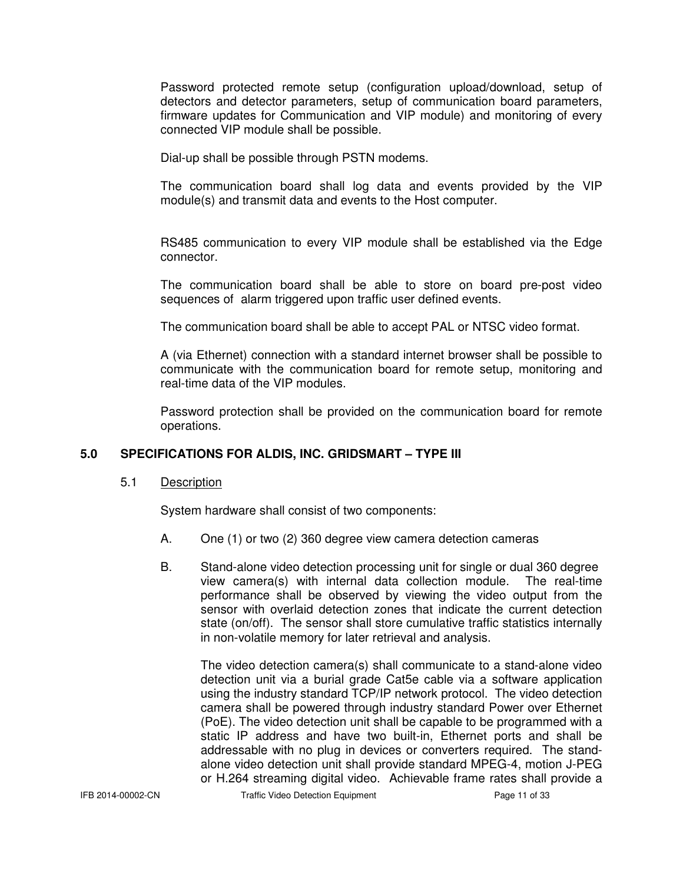Password protected remote setup (configuration upload/download, setup of detectors and detector parameters, setup of communication board parameters, firmware updates for Communication and VIP module) and monitoring of every connected VIP module shall be possible.

Dial-up shall be possible through PSTN modems.

 The communication board shall log data and events provided by the VIP module(s) and transmit data and events to the Host computer.

 RS485 communication to every VIP module shall be established via the Edge connector.

 The communication board shall be able to store on board pre-post video sequences of alarm triggered upon traffic user defined events.

The communication board shall be able to accept PAL or NTSC video format.

 A (via Ethernet) connection with a standard internet browser shall be possible to communicate with the communication board for remote setup, monitoring and real-time data of the VIP modules.

 Password protection shall be provided on the communication board for remote operations.

#### **5.0 SPECIFICATIONS FOR ALDIS, INC. GRIDSMART – TYPE III**

5.1 Description

System hardware shall consist of two components:

- A. One (1) or two (2) 360 degree view camera detection cameras
- B. Stand-alone video detection processing unit for single or dual 360 degree view camera(s) with internal data collection module. The real-time performance shall be observed by viewing the video output from the sensor with overlaid detection zones that indicate the current detection state (on/off). The sensor shall store cumulative traffic statistics internally in non-volatile memory for later retrieval and analysis.

 The video detection camera(s) shall communicate to a stand-alone video detection unit via a burial grade Cat5e cable via a software application using the industry standard TCP/IP network protocol. The video detection camera shall be powered through industry standard Power over Ethernet (PoE). The video detection unit shall be capable to be programmed with a static IP address and have two built-in, Ethernet ports and shall be addressable with no plug in devices or converters required. The stand alone video detection unit shall provide standard MPEG-4, motion J-PEG or H.264 streaming digital video. Achievable frame rates shall provide a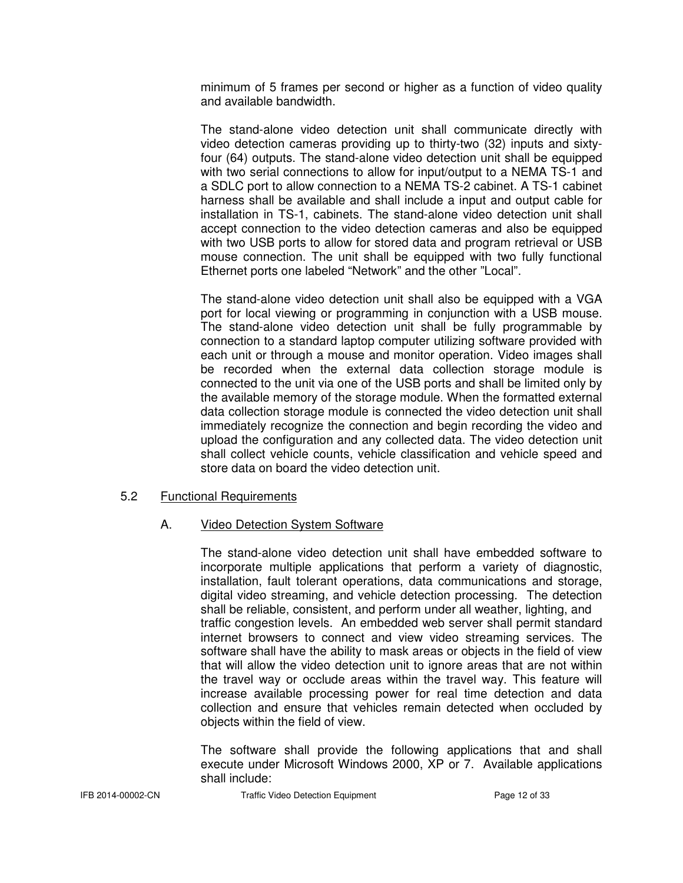minimum of 5 frames per second or higher as a function of video quality and available bandwidth.

 The stand-alone video detection unit shall communicate directly with video detection cameras providing up to thirty-two (32) inputs and sixty four (64) outputs. The stand-alone video detection unit shall be equipped with two serial connections to allow for input/output to a NEMA TS-1 and a SDLC port to allow connection to a NEMA TS-2 cabinet. A TS-1 cabinet harness shall be available and shall include a input and output cable for installation in TS-1, cabinets. The stand-alone video detection unit shall accept connection to the video detection cameras and also be equipped with two USB ports to allow for stored data and program retrieval or USB mouse connection. The unit shall be equipped with two fully functional Ethernet ports one labeled "Network" and the other "Local".

 The stand-alone video detection unit shall also be equipped with a VGA port for local viewing or programming in conjunction with a USB mouse. The stand-alone video detection unit shall be fully programmable by connection to a standard laptop computer utilizing software provided with each unit or through a mouse and monitor operation. Video images shall be recorded when the external data collection storage module is connected to the unit via one of the USB ports and shall be limited only by the available memory of the storage module. When the formatted external data collection storage module is connected the video detection unit shall immediately recognize the connection and begin recording the video and upload the configuration and any collected data. The video detection unit shall collect vehicle counts, vehicle classification and vehicle speed and store data on board the video detection unit.

#### 5.2 Functional Requirements

#### A. Video Detection System Software

 The stand-alone video detection unit shall have embedded software to incorporate multiple applications that perform a variety of diagnostic, installation, fault tolerant operations, data communications and storage, digital video streaming, and vehicle detection processing. The detection shall be reliable, consistent, and perform under all weather, lighting, and traffic congestion levels. An embedded web server shall permit standard internet browsers to connect and view video streaming services. The software shall have the ability to mask areas or objects in the field of view that will allow the video detection unit to ignore areas that are not within the travel way or occlude areas within the travel way. This feature will increase available processing power for real time detection and data collection and ensure that vehicles remain detected when occluded by objects within the field of view.

 The software shall provide the following applications that and shall execute under Microsoft Windows 2000, XP or 7. Available applications shall include:

IFB 2014-00002-CN Traffic Video Detection Equipment Page 12 of 33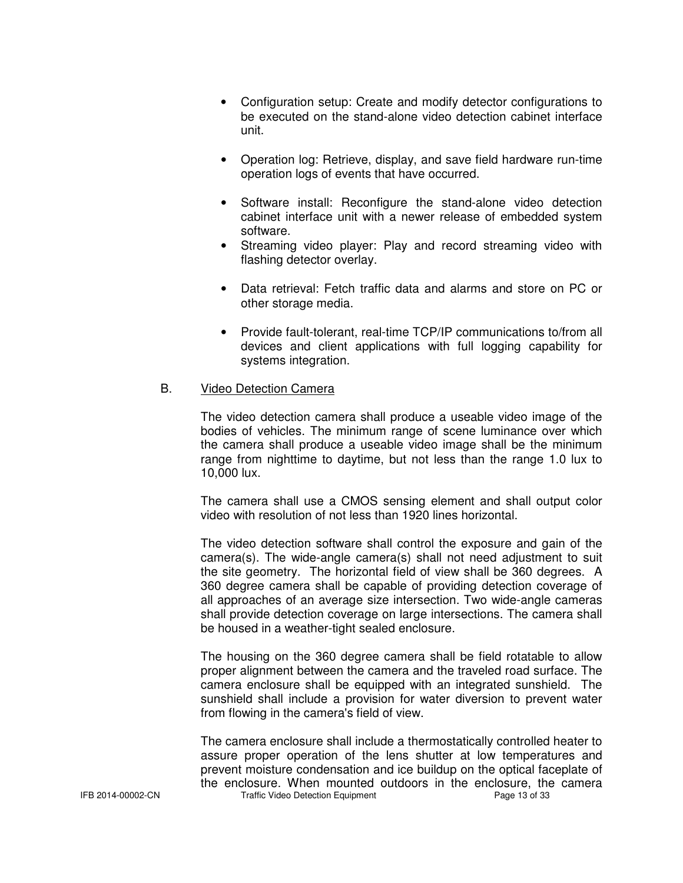- Configuration setup: Create and modify detector configurations to be executed on the stand-alone video detection cabinet interface unit.
- Operation log: Retrieve, display, and save field hardware run-time operation logs of events that have occurred.
- Software install: Reconfigure the stand-alone video detection cabinet interface unit with a newer release of embedded system software.
- Streaming video player: Play and record streaming video with flashing detector overlay.
- Data retrieval: Fetch traffic data and alarms and store on PC or other storage media.
- Provide fault-tolerant, real-time TCP/IP communications to/from all devices and client applications with full logging capability for systems integration.

#### B. Video Detection Camera

 The video detection camera shall produce a useable video image of the bodies of vehicles. The minimum range of scene luminance over which the camera shall produce a useable video image shall be the minimum range from nighttime to daytime, but not less than the range 1.0 lux to 10,000 lux.

 The camera shall use a CMOS sensing element and shall output color video with resolution of not less than 1920 lines horizontal.

 The video detection software shall control the exposure and gain of the camera(s). The wide-angle camera(s) shall not need adjustment to suit the site geometry. The horizontal field of view shall be 360 degrees. A 360 degree camera shall be capable of providing detection coverage of all approaches of an average size intersection. Two wide-angle cameras shall provide detection coverage on large intersections. The camera shall be housed in a weather-tight sealed enclosure.

 The housing on the 360 degree camera shall be field rotatable to allow proper alignment between the camera and the traveled road surface. The camera enclosure shall be equipped with an integrated sunshield. The sunshield shall include a provision for water diversion to prevent water from flowing in the camera's field of view.

IFB 2014-00002-CN Traffic Video Detection Equipment Page 13 of 33 The camera enclosure shall include a thermostatically controlled heater to assure proper operation of the lens shutter at low temperatures and prevent moisture condensation and ice buildup on the optical faceplate of the enclosure. When mounted outdoors in the enclosure, the camera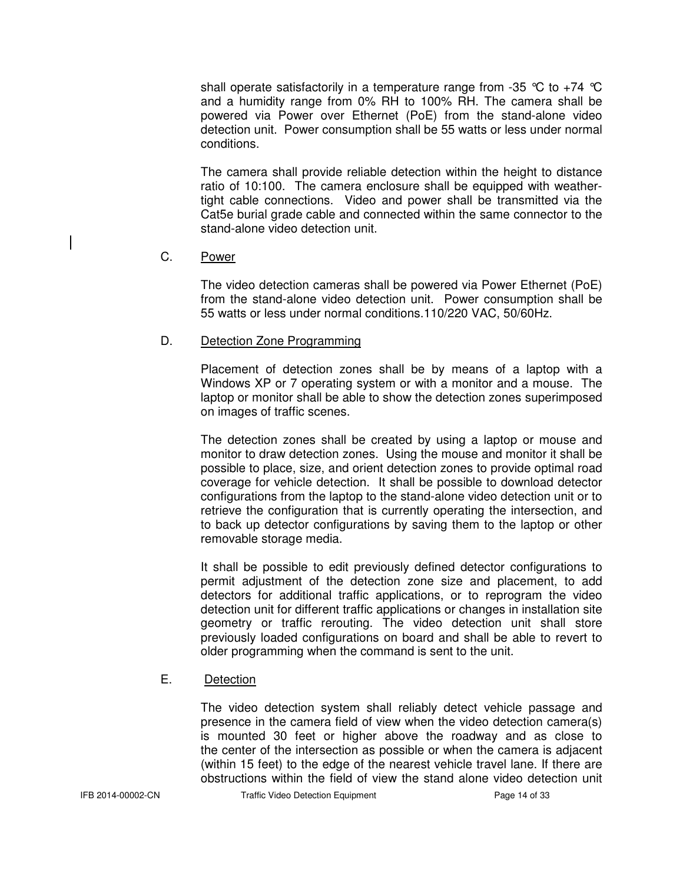shall operate satisfactorily in a temperature range from -35  $\degree$ C to +74  $\degree$ C and a humidity range from 0% RH to 100% RH. The camera shall be powered via Power over Ethernet (PoE) from the stand-alone video detection unit. Power consumption shall be 55 watts or less under normal conditions.

 The camera shall provide reliable detection within the height to distance ratio of 10:100. The camera enclosure shall be equipped with weather tight cable connections. Video and power shall be transmitted via the Cat5e burial grade cable and connected within the same connector to the stand-alone video detection unit.

#### C. Power

 The video detection cameras shall be powered via Power Ethernet (PoE) from the stand-alone video detection unit. Power consumption shall be 55 watts or less under normal conditions.110/220 VAC, 50/60Hz.

#### **D.** Detection Zone Programming

 Placement of detection zones shall be by means of a laptop with a Windows XP or 7 operating system or with a monitor and a mouse. The laptop or monitor shall be able to show the detection zones superimposed on images of traffic scenes.

 The detection zones shall be created by using a laptop or mouse and monitor to draw detection zones. Using the mouse and monitor it shall be possible to place, size, and orient detection zones to provide optimal road coverage for vehicle detection. It shall be possible to download detector configurations from the laptop to the stand-alone video detection unit or to retrieve the configuration that is currently operating the intersection, and to back up detector configurations by saving them to the laptop or other removable storage media.

 It shall be possible to edit previously defined detector configurations to permit adjustment of the detection zone size and placement, to add detectors for additional traffic applications, or to reprogram the video detection unit for different traffic applications or changes in installation site geometry or traffic rerouting. The video detection unit shall store previously loaded configurations on board and shall be able to revert to older programming when the command is sent to the unit.

#### E. Detection

 The video detection system shall reliably detect vehicle passage and presence in the camera field of view when the video detection camera(s) is mounted 30 feet or higher above the roadway and as close to the center of the intersection as possible or when the camera is adjacent (within 15 feet) to the edge of the nearest vehicle travel lane. If there are obstructions within the field of view the stand alone video detection unit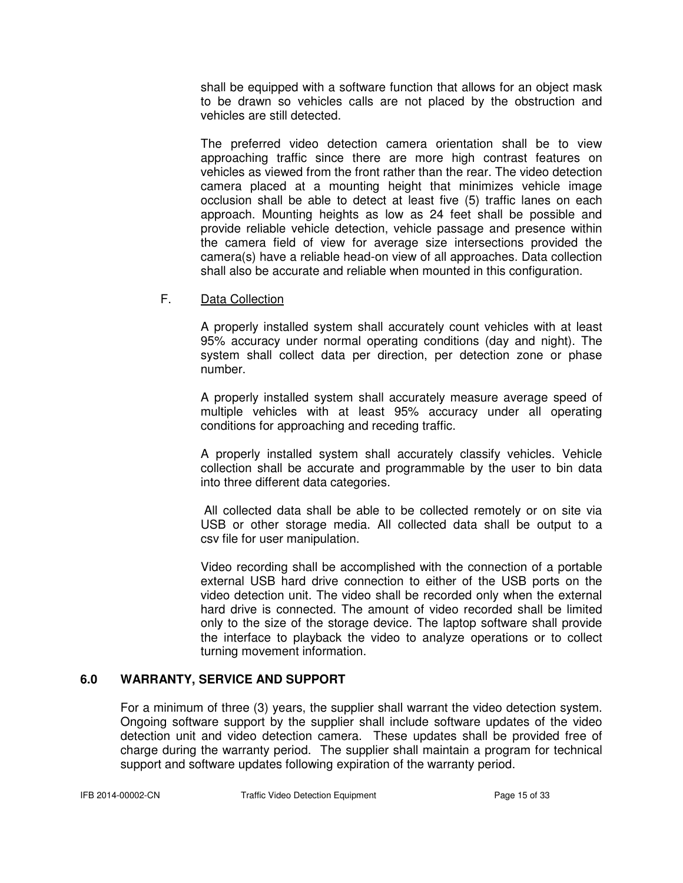shall be equipped with a software function that allows for an object mask to be drawn so vehicles calls are not placed by the obstruction and vehicles are still detected.

 The preferred video detection camera orientation shall be to view approaching traffic since there are more high contrast features on vehicles as viewed from the front rather than the rear. The video detection camera placed at a mounting height that minimizes vehicle image occlusion shall be able to detect at least five (5) traffic lanes on each approach. Mounting heights as low as 24 feet shall be possible and provide reliable vehicle detection, vehicle passage and presence within the camera field of view for average size intersections provided the camera(s) have a reliable head-on view of all approaches. Data collection shall also be accurate and reliable when mounted in this configuration.

#### F. Data Collection

 A properly installed system shall accurately count vehicles with at least 95% accuracy under normal operating conditions (day and night). The system shall collect data per direction, per detection zone or phase number.

 A properly installed system shall accurately measure average speed of multiple vehicles with at least 95% accuracy under all operating conditions for approaching and receding traffic.

 A properly installed system shall accurately classify vehicles. Vehicle collection shall be accurate and programmable by the user to bin data into three different data categories.

 All collected data shall be able to be collected remotely or on site via USB or other storage media. All collected data shall be output to a csv file for user manipulation.

 Video recording shall be accomplished with the connection of a portable external USB hard drive connection to either of the USB ports on the video detection unit. The video shall be recorded only when the external hard drive is connected. The amount of video recorded shall be limited only to the size of the storage device. The laptop software shall provide the interface to playback the video to analyze operations or to collect turning movement information.

#### **6.0 WARRANTY, SERVICE AND SUPPORT**

For a minimum of three (3) years, the supplier shall warrant the video detection system. Ongoing software support by the supplier shall include software updates of the video detection unit and video detection camera. These updates shall be provided free of charge during the warranty period. The supplier shall maintain a program for technical support and software updates following expiration of the warranty period.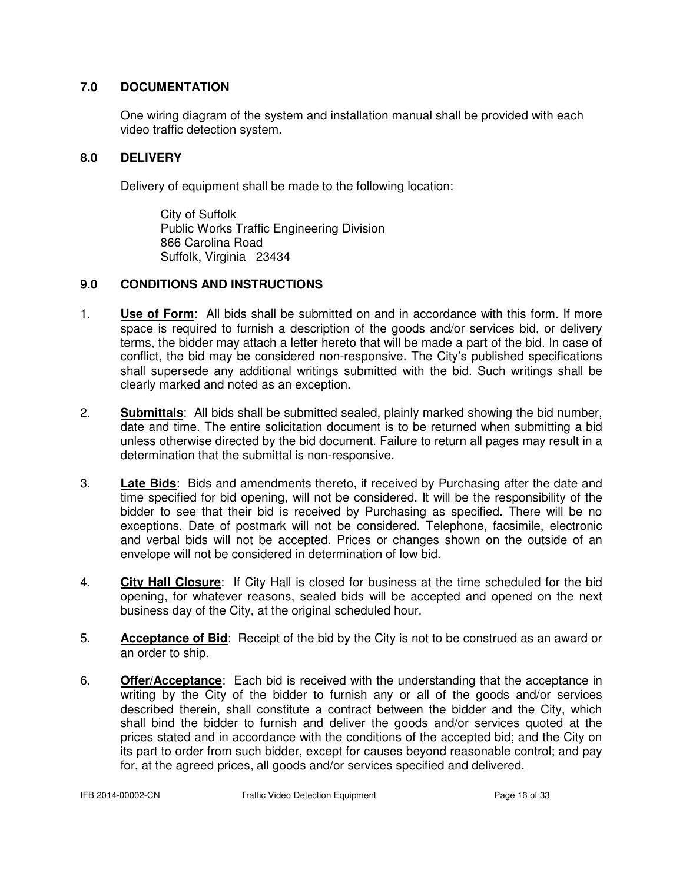#### **7.0 DOCUMENTATION**

One wiring diagram of the system and installation manual shall be provided with each video traffic detection system.

#### **8.0 DELIVERY**

Delivery of equipment shall be made to the following location:

 City of Suffolk Public Works Traffic Engineering Division 866 Carolina Road Suffolk, Virginia 23434

#### **9.0 CONDITIONS AND INSTRUCTIONS**

- 1. **Use of Form**: All bids shall be submitted on and in accordance with this form. If more space is required to furnish a description of the goods and/or services bid, or delivery terms, the bidder may attach a letter hereto that will be made a part of the bid. In case of conflict, the bid may be considered non-responsive. The City's published specifications shall supersede any additional writings submitted with the bid. Such writings shall be clearly marked and noted as an exception.
- 2. **Submittals**: All bids shall be submitted sealed, plainly marked showing the bid number, date and time. The entire solicitation document is to be returned when submitting a bid unless otherwise directed by the bid document. Failure to return all pages may result in a determination that the submittal is non-responsive.
- 3. **Late Bids**: Bids and amendments thereto, if received by Purchasing after the date and time specified for bid opening, will not be considered. It will be the responsibility of the bidder to see that their bid is received by Purchasing as specified. There will be no exceptions. Date of postmark will not be considered. Telephone, facsimile, electronic and verbal bids will not be accepted. Prices or changes shown on the outside of an envelope will not be considered in determination of low bid.
- 4. **City Hall Closure**: If City Hall is closed for business at the time scheduled for the bid opening, for whatever reasons, sealed bids will be accepted and opened on the next business day of the City, at the original scheduled hour.
- 5. **Acceptance of Bid**: Receipt of the bid by the City is not to be construed as an award or an order to ship.
- 6. **Offer/Acceptance**: Each bid is received with the understanding that the acceptance in writing by the City of the bidder to furnish any or all of the goods and/or services described therein, shall constitute a contract between the bidder and the City, which shall bind the bidder to furnish and deliver the goods and/or services quoted at the prices stated and in accordance with the conditions of the accepted bid; and the City on its part to order from such bidder, except for causes beyond reasonable control; and pay for, at the agreed prices, all goods and/or services specified and delivered.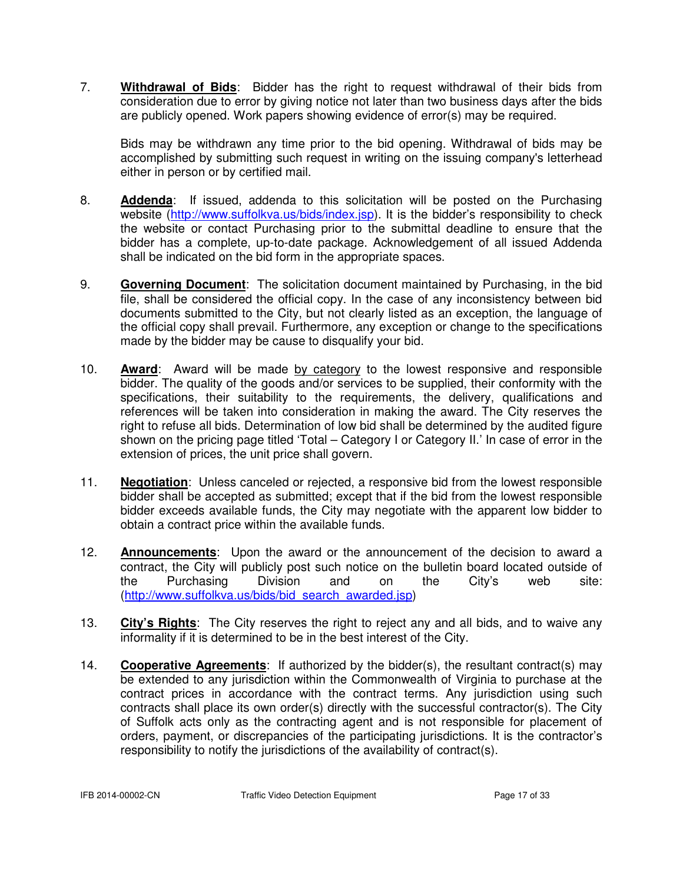7. **Withdrawal of Bids**: Bidder has the right to request withdrawal of their bids from consideration due to error by giving notice not later than two business days after the bids are publicly opened. Work papers showing evidence of error(s) may be required.

 Bids may be withdrawn any time prior to the bid opening. Withdrawal of bids may be accomplished by submitting such request in writing on the issuing company's letterhead either in person or by certified mail.

- 8. **Addenda**: If issued, addenda to this solicitation will be posted on the Purchasing website (http://www.suffolkva.us/bids/index.jsp). It is the bidder's responsibility to check the website or contact Purchasing prior to the submittal deadline to ensure that the bidder has a complete, up-to-date package. Acknowledgement of all issued Addenda shall be indicated on the bid form in the appropriate spaces.
- 9. **Governing Document**: The solicitation document maintained by Purchasing, in the bid file, shall be considered the official copy. In the case of any inconsistency between bid documents submitted to the City, but not clearly listed as an exception, the language of the official copy shall prevail. Furthermore, any exception or change to the specifications made by the bidder may be cause to disqualify your bid.
- 10. **Award**: Award will be made by category to the lowest responsive and responsible bidder. The quality of the goods and/or services to be supplied, their conformity with the specifications, their suitability to the requirements, the delivery, qualifications and references will be taken into consideration in making the award. The City reserves the right to refuse all bids. Determination of low bid shall be determined by the audited figure shown on the pricing page titled 'Total – Category I or Category II.' In case of error in the extension of prices, the unit price shall govern.
- 11. **Negotiation**: Unless canceled or rejected, a responsive bid from the lowest responsible bidder shall be accepted as submitted; except that if the bid from the lowest responsible bidder exceeds available funds, the City may negotiate with the apparent low bidder to obtain a contract price within the available funds.
- 12. **Announcements**: Upon the award or the announcement of the decision to award a contract, the City will publicly post such notice on the bulletin board located outside of the Purchasing Division and on the City's web site: (http://www.suffolkva.us/bids/bid\_search\_awarded.jsp)
- 13. **City's Rights**: The City reserves the right to reject any and all bids, and to waive any informality if it is determined to be in the best interest of the City.
- 14. **Cooperative Agreements**: If authorized by the bidder(s), the resultant contract(s) may be extended to any jurisdiction within the Commonwealth of Virginia to purchase at the contract prices in accordance with the contract terms. Any jurisdiction using such contracts shall place its own order(s) directly with the successful contractor(s). The City of Suffolk acts only as the contracting agent and is not responsible for placement of orders, payment, or discrepancies of the participating jurisdictions. It is the contractor's responsibility to notify the jurisdictions of the availability of contract(s).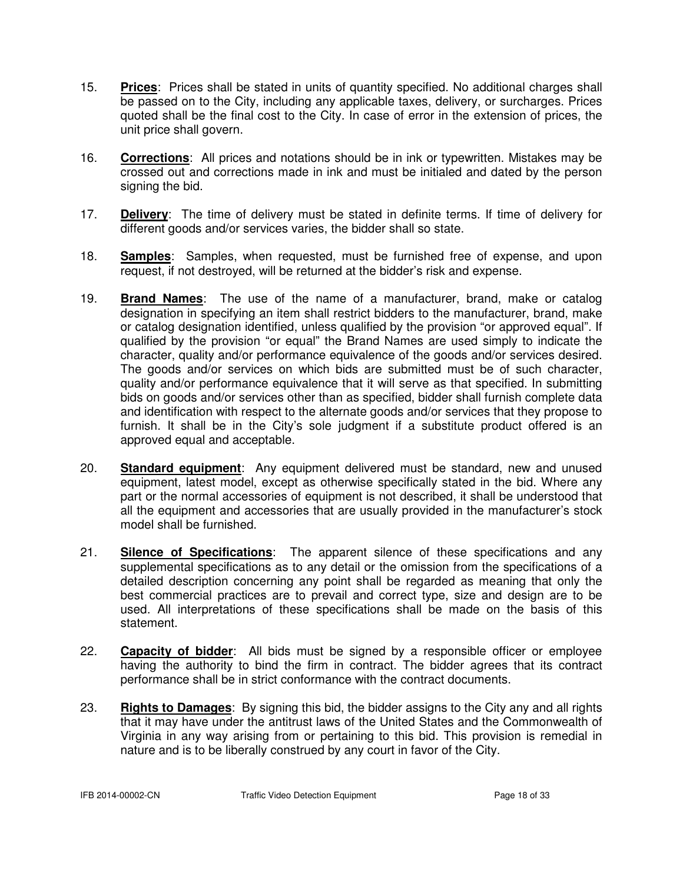- 15. **Prices**: Prices shall be stated in units of quantity specified. No additional charges shall be passed on to the City, including any applicable taxes, delivery, or surcharges. Prices quoted shall be the final cost to the City. In case of error in the extension of prices, the unit price shall govern.
- 16. **Corrections**: All prices and notations should be in ink or typewritten. Mistakes may be crossed out and corrections made in ink and must be initialed and dated by the person signing the bid.
- 17. **Delivery**: The time of delivery must be stated in definite terms. If time of delivery for different goods and/or services varies, the bidder shall so state.
- 18. **Samples**: Samples, when requested, must be furnished free of expense, and upon request, if not destroyed, will be returned at the bidder's risk and expense.
- 19. **Brand Names**: The use of the name of a manufacturer, brand, make or catalog designation in specifying an item shall restrict bidders to the manufacturer, brand, make or catalog designation identified, unless qualified by the provision "or approved equal". If qualified by the provision "or equal" the Brand Names are used simply to indicate the character, quality and/or performance equivalence of the goods and/or services desired. The goods and/or services on which bids are submitted must be of such character, quality and/or performance equivalence that it will serve as that specified. In submitting bids on goods and/or services other than as specified, bidder shall furnish complete data and identification with respect to the alternate goods and/or services that they propose to furnish. It shall be in the City's sole judgment if a substitute product offered is an approved equal and acceptable.
- 20. **Standard equipment**: Any equipment delivered must be standard, new and unused equipment, latest model, except as otherwise specifically stated in the bid. Where any part or the normal accessories of equipment is not described, it shall be understood that all the equipment and accessories that are usually provided in the manufacturer's stock model shall be furnished.
- 21. **Silence of Specifications**: The apparent silence of these specifications and any supplemental specifications as to any detail or the omission from the specifications of a detailed description concerning any point shall be regarded as meaning that only the best commercial practices are to prevail and correct type, size and design are to be used. All interpretations of these specifications shall be made on the basis of this statement.
- 22. **Capacity of bidder**: All bids must be signed by a responsible officer or employee having the authority to bind the firm in contract. The bidder agrees that its contract performance shall be in strict conformance with the contract documents.
- 23. **Rights to Damages**: By signing this bid, the bidder assigns to the City any and all rights that it may have under the antitrust laws of the United States and the Commonwealth of Virginia in any way arising from or pertaining to this bid. This provision is remedial in nature and is to be liberally construed by any court in favor of the City.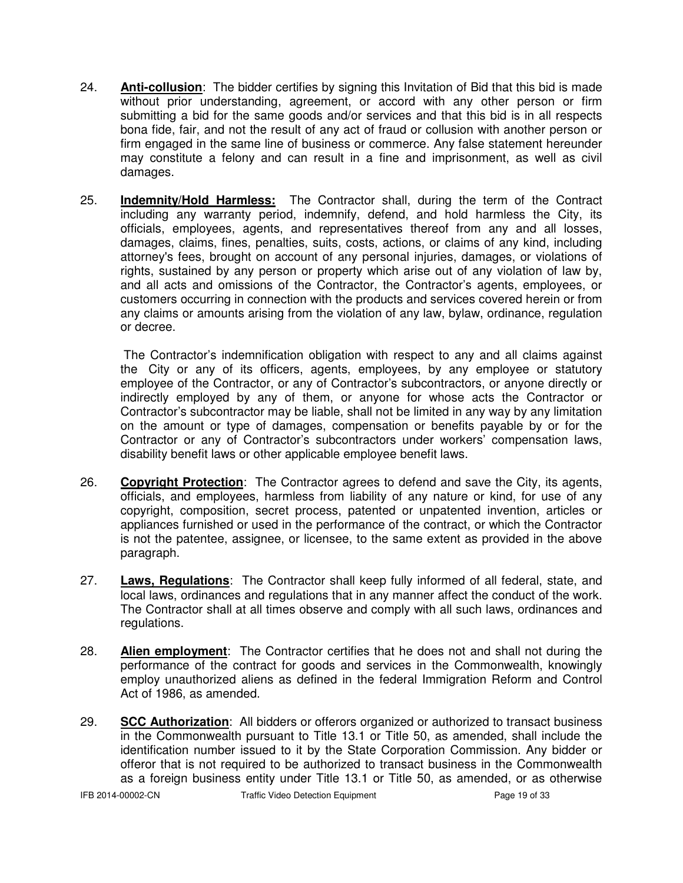- 24. **Anti-collusion**: The bidder certifies by signing this Invitation of Bid that this bid is made without prior understanding, agreement, or accord with any other person or firm submitting a bid for the same goods and/or services and that this bid is in all respects bona fide, fair, and not the result of any act of fraud or collusion with another person or firm engaged in the same line of business or commerce. Any false statement hereunder may constitute a felony and can result in a fine and imprisonment, as well as civil damages.
- 25. **Indemnity/Hold Harmless:** The Contractor shall, during the term of the Contract including any warranty period, indemnify, defend, and hold harmless the City, its officials, employees, agents, and representatives thereof from any and all losses, damages, claims, fines, penalties, suits, costs, actions, or claims of any kind, including attorney's fees, brought on account of any personal injuries, damages, or violations of rights, sustained by any person or property which arise out of any violation of law by, and all acts and omissions of the Contractor, the Contractor's agents, employees, or customers occurring in connection with the products and services covered herein or from any claims or amounts arising from the violation of any law, bylaw, ordinance, regulation or decree.

 The Contractor's indemnification obligation with respect to any and all claims against the City or any of its officers, agents, employees, by any employee or statutory employee of the Contractor, or any of Contractor's subcontractors, or anyone directly or indirectly employed by any of them, or anyone for whose acts the Contractor or Contractor's subcontractor may be liable, shall not be limited in any way by any limitation on the amount or type of damages, compensation or benefits payable by or for the Contractor or any of Contractor's subcontractors under workers' compensation laws, disability benefit laws or other applicable employee benefit laws.

- 26. **Copyright Protection**: The Contractor agrees to defend and save the City, its agents, officials, and employees, harmless from liability of any nature or kind, for use of any copyright, composition, secret process, patented or unpatented invention, articles or appliances furnished or used in the performance of the contract, or which the Contractor is not the patentee, assignee, or licensee, to the same extent as provided in the above paragraph.
- 27. **Laws, Regulations**: The Contractor shall keep fully informed of all federal, state, and local laws, ordinances and regulations that in any manner affect the conduct of the work. The Contractor shall at all times observe and comply with all such laws, ordinances and regulations.
- 28. **Alien employment**: The Contractor certifies that he does not and shall not during the performance of the contract for goods and services in the Commonwealth, knowingly employ unauthorized aliens as defined in the federal Immigration Reform and Control Act of 1986, as amended.
- 29. **SCC Authorization**: All bidders or offerors organized or authorized to transact business in the Commonwealth pursuant to Title 13.1 or Title 50, as amended, shall include the identification number issued to it by the State Corporation Commission. Any bidder or offeror that is not required to be authorized to transact business in the Commonwealth as a foreign business entity under Title 13.1 or Title 50, as amended, or as otherwise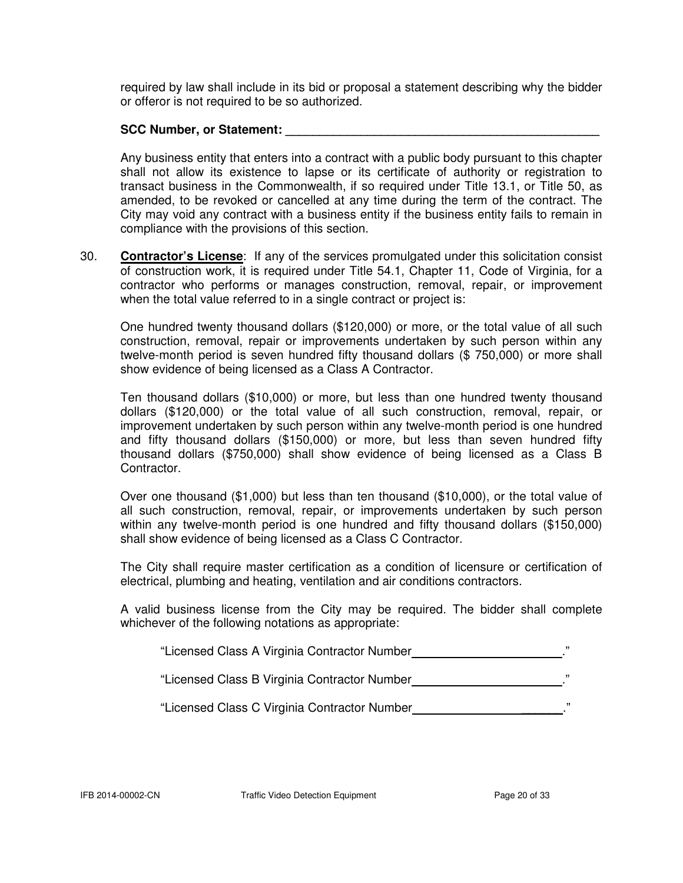required by law shall include in its bid or proposal a statement describing why the bidder or offeror is not required to be so authorized.

#### SCC Number, or Statement:

 Any business entity that enters into a contract with a public body pursuant to this chapter shall not allow its existence to lapse or its certificate of authority or registration to transact business in the Commonwealth, if so required under Title 13.1, or Title 50, as amended, to be revoked or cancelled at any time during the term of the contract. The City may void any contract with a business entity if the business entity fails to remain in compliance with the provisions of this section.

30. **Contractor's License**: If any of the services promulgated under this solicitation consist of construction work, it is required under Title 54.1, Chapter 11, Code of Virginia, for a contractor who performs or manages construction, removal, repair, or improvement when the total value referred to in a single contract or project is:

 One hundred twenty thousand dollars (\$120,000) or more, or the total value of all such construction, removal, repair or improvements undertaken by such person within any twelve-month period is seven hundred fifty thousand dollars (\$ 750,000) or more shall show evidence of being licensed as a Class A Contractor.

 Ten thousand dollars (\$10,000) or more, but less than one hundred twenty thousand dollars (\$120,000) or the total value of all such construction, removal, repair, or improvement undertaken by such person within any twelve-month period is one hundred and fifty thousand dollars (\$150,000) or more, but less than seven hundred fifty thousand dollars (\$750,000) shall show evidence of being licensed as a Class B Contractor.

 Over one thousand (\$1,000) but less than ten thousand (\$10,000), or the total value of all such construction, removal, repair, or improvements undertaken by such person within any twelve-month period is one hundred and fifty thousand dollars (\$150,000) shall show evidence of being licensed as a Class C Contractor.

 The City shall require master certification as a condition of licensure or certification of electrical, plumbing and heating, ventilation and air conditions contractors.

 A valid business license from the City may be required. The bidder shall complete whichever of the following notations as appropriate:

"Licensed Class A Virginia Contractor Number **...................................**."

"Licensed Class B Virginia Contractor Number ."

"Licensed Class C Virginia Contractor Number \_\_\_\_\_\_."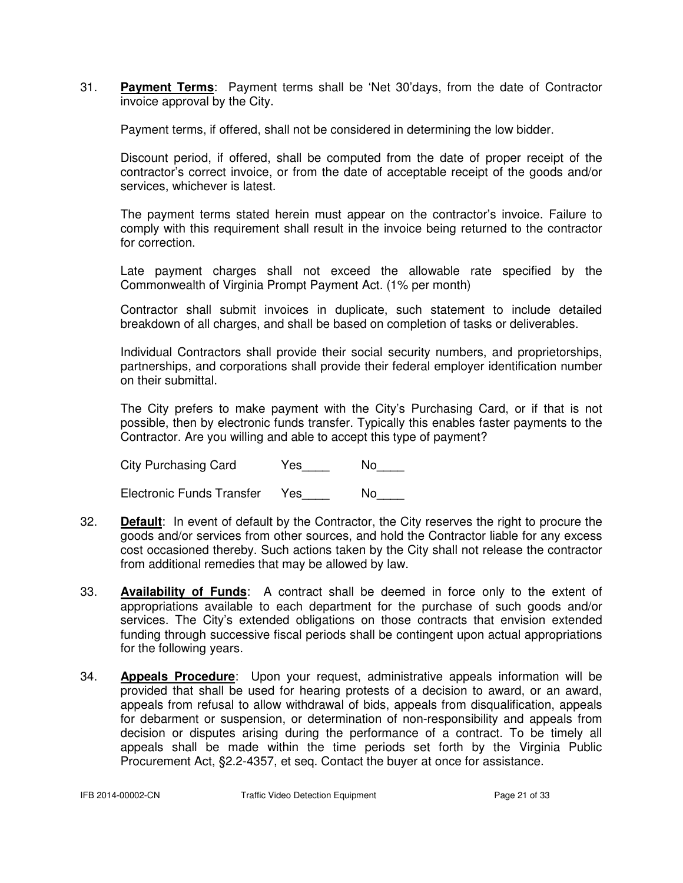31. **Payment Terms**: Payment terms shall be 'Net 30'days, from the date of Contractor invoice approval by the City.

Payment terms, if offered, shall not be considered in determining the low bidder.

 Discount period, if offered, shall be computed from the date of proper receipt of the contractor's correct invoice, or from the date of acceptable receipt of the goods and/or services, whichever is latest.

 The payment terms stated herein must appear on the contractor's invoice. Failure to comply with this requirement shall result in the invoice being returned to the contractor for correction.

 Late payment charges shall not exceed the allowable rate specified by the Commonwealth of Virginia Prompt Payment Act. (1% per month)

Contractor shall submit invoices in duplicate, such statement to include detailed breakdown of all charges, and shall be based on completion of tasks or deliverables.

 Individual Contractors shall provide their social security numbers, and proprietorships, partnerships, and corporations shall provide their federal employer identification number on their submittal.

 The City prefers to make payment with the City's Purchasing Card, or if that is not possible, then by electronic funds transfer. Typically this enables faster payments to the Contractor. Are you willing and able to accept this type of payment?

City Purchasing Card Yes\_\_\_\_ No\_\_\_

Electronic Funds Transfer Yes\_\_\_\_ No\_\_\_\_

- 32. **Default**: In event of default by the Contractor, the City reserves the right to procure the goods and/or services from other sources, and hold the Contractor liable for any excess cost occasioned thereby. Such actions taken by the City shall not release the contractor from additional remedies that may be allowed by law.
- 33. **Availability of Funds**: A contract shall be deemed in force only to the extent of appropriations available to each department for the purchase of such goods and/or services. The City's extended obligations on those contracts that envision extended funding through successive fiscal periods shall be contingent upon actual appropriations for the following years.
- 34. **Appeals Procedure**: Upon your request, administrative appeals information will be provided that shall be used for hearing protests of a decision to award, or an award, appeals from refusal to allow withdrawal of bids, appeals from disqualification, appeals for debarment or suspension, or determination of non-responsibility and appeals from decision or disputes arising during the performance of a contract. To be timely all appeals shall be made within the time periods set forth by the Virginia Public Procurement Act, §2.2-4357, et seq. Contact the buyer at once for assistance.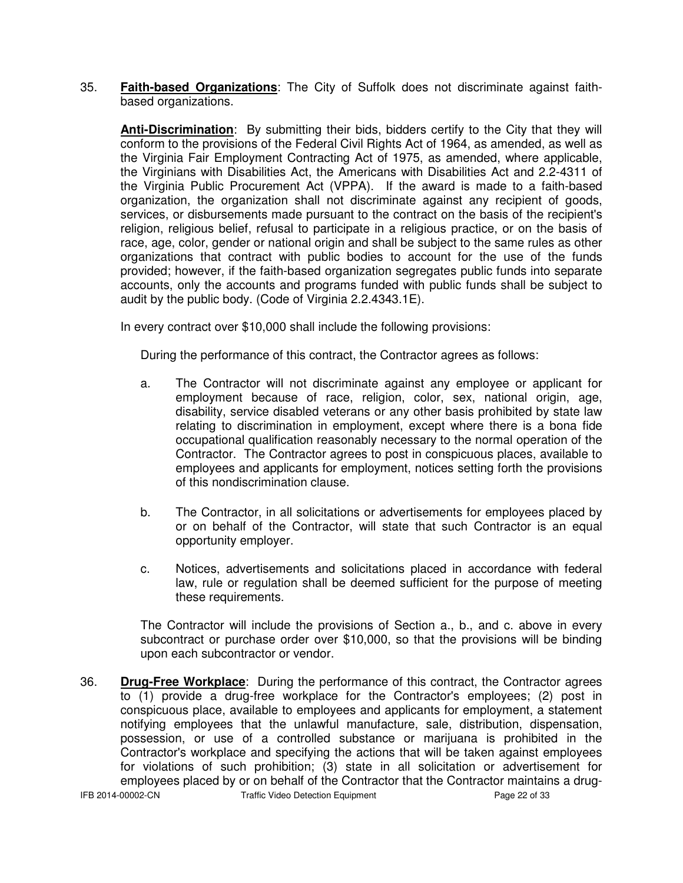35. **Faith-based Organizations**: The City of Suffolk does not discriminate against faithbased organizations.

**Anti-Discrimination**: By submitting their bids, bidders certify to the City that they will conform to the provisions of the Federal Civil Rights Act of 1964, as amended, as well as the Virginia Fair Employment Contracting Act of 1975, as amended, where applicable, the Virginians with Disabilities Act, the Americans with Disabilities Act and 2.2-4311 of the Virginia Public Procurement Act (VPPA). If the award is made to a faith-based organization, the organization shall not discriminate against any recipient of goods, services, or disbursements made pursuant to the contract on the basis of the recipient's religion, religious belief, refusal to participate in a religious practice, or on the basis of race, age, color, gender or national origin and shall be subject to the same rules as other organizations that contract with public bodies to account for the use of the funds provided; however, if the faith-based organization segregates public funds into separate accounts, only the accounts and programs funded with public funds shall be subject to audit by the public body. (Code of Virginia 2.2.4343.1E).

In every contract over \$10,000 shall include the following provisions:

During the performance of this contract, the Contractor agrees as follows:

- a. The Contractor will not discriminate against any employee or applicant for employment because of race, religion, color, sex, national origin, age, disability, service disabled veterans or any other basis prohibited by state law relating to discrimination in employment, except where there is a bona fide occupational qualification reasonably necessary to the normal operation of the Contractor. The Contractor agrees to post in conspicuous places, available to employees and applicants for employment, notices setting forth the provisions of this nondiscrimination clause.
- b. The Contractor, in all solicitations or advertisements for employees placed by or on behalf of the Contractor, will state that such Contractor is an equal opportunity employer.
- c. Notices, advertisements and solicitations placed in accordance with federal law, rule or regulation shall be deemed sufficient for the purpose of meeting these requirements.

The Contractor will include the provisions of Section a., b., and c. above in every subcontract or purchase order over \$10,000, so that the provisions will be binding upon each subcontractor or vendor.

IFB 2014-00002-CN Traffic Video Detection Equipment Page 22 of 33 36. **Drug-Free Workplace**: During the performance of this contract, the Contractor agrees to (1) provide a drug-free workplace for the Contractor's employees; (2) post in conspicuous place, available to employees and applicants for employment, a statement notifying employees that the unlawful manufacture, sale, distribution, dispensation, possession, or use of a controlled substance or marijuana is prohibited in the Contractor's workplace and specifying the actions that will be taken against employees for violations of such prohibition; (3) state in all solicitation or advertisement for employees placed by or on behalf of the Contractor that the Contractor maintains a drug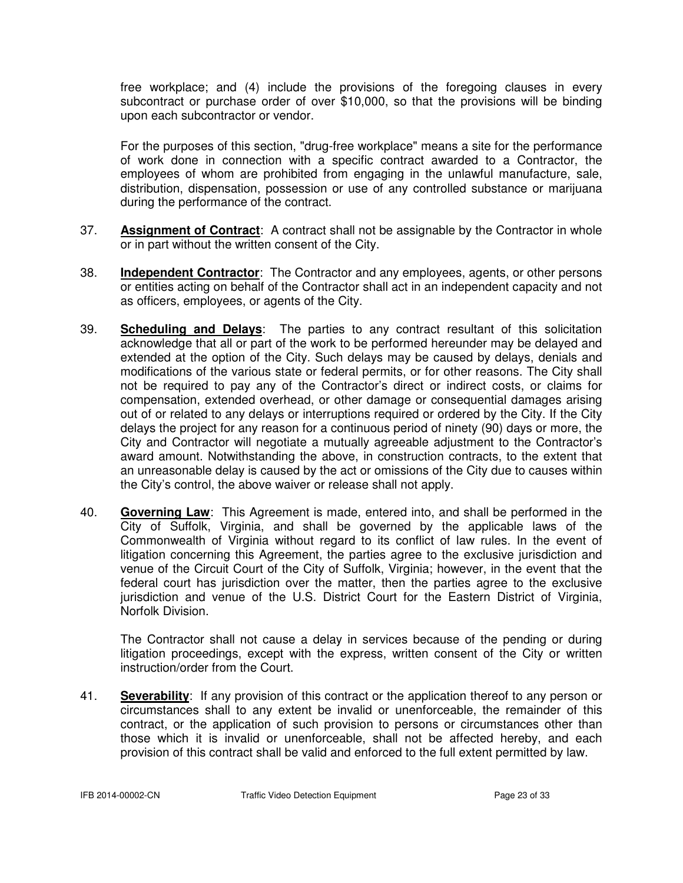free workplace; and (4) include the provisions of the foregoing clauses in every subcontract or purchase order of over \$10,000, so that the provisions will be binding upon each subcontractor or vendor.

For the purposes of this section, "drug-free workplace" means a site for the performance of work done in connection with a specific contract awarded to a Contractor, the employees of whom are prohibited from engaging in the unlawful manufacture, sale, distribution, dispensation, possession or use of any controlled substance or marijuana during the performance of the contract.

- 37. **Assignment of Contract**: A contract shall not be assignable by the Contractor in whole or in part without the written consent of the City.
- 38. **Independent Contractor**: The Contractor and any employees, agents, or other persons or entities acting on behalf of the Contractor shall act in an independent capacity and not as officers, employees, or agents of the City.
- 39. **Scheduling and Delays**: The parties to any contract resultant of this solicitation acknowledge that all or part of the work to be performed hereunder may be delayed and extended at the option of the City. Such delays may be caused by delays, denials and modifications of the various state or federal permits, or for other reasons. The City shall not be required to pay any of the Contractor's direct or indirect costs, or claims for compensation, extended overhead, or other damage or consequential damages arising out of or related to any delays or interruptions required or ordered by the City. If the City delays the project for any reason for a continuous period of ninety (90) days or more, the City and Contractor will negotiate a mutually agreeable adjustment to the Contractor's award amount. Notwithstanding the above, in construction contracts, to the extent that an unreasonable delay is caused by the act or omissions of the City due to causes within the City's control, the above waiver or release shall not apply.
- 40. **Governing Law**: This Agreement is made, entered into, and shall be performed in the City of Suffolk, Virginia, and shall be governed by the applicable laws of the Commonwealth of Virginia without regard to its conflict of law rules. In the event of litigation concerning this Agreement, the parties agree to the exclusive jurisdiction and venue of the Circuit Court of the City of Suffolk, Virginia; however, in the event that the federal court has jurisdiction over the matter, then the parties agree to the exclusive jurisdiction and venue of the U.S. District Court for the Eastern District of Virginia, Norfolk Division.

The Contractor shall not cause a delay in services because of the pending or during litigation proceedings, except with the express, written consent of the City or written instruction/order from the Court.

41. **Severability**: If any provision of this contract or the application thereof to any person or circumstances shall to any extent be invalid or unenforceable, the remainder of this contract, or the application of such provision to persons or circumstances other than those which it is invalid or unenforceable, shall not be affected hereby, and each provision of this contract shall be valid and enforced to the full extent permitted by law.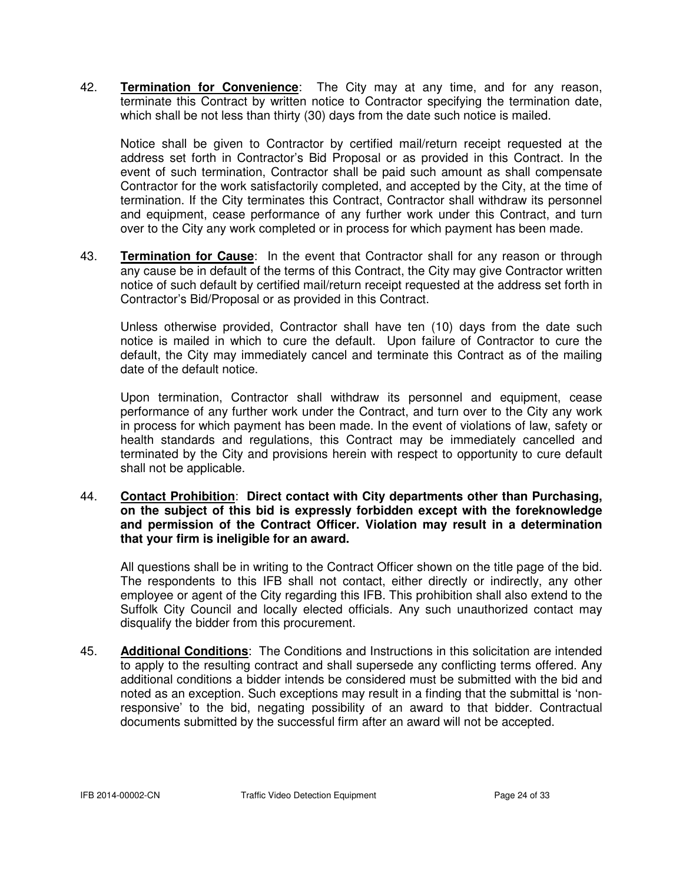42. **Termination for Convenience**: The City may at any time, and for any reason, terminate this Contract by written notice to Contractor specifying the termination date, which shall be not less than thirty (30) days from the date such notice is mailed.

Notice shall be given to Contractor by certified mail/return receipt requested at the address set forth in Contractor's Bid Proposal or as provided in this Contract. In the event of such termination, Contractor shall be paid such amount as shall compensate Contractor for the work satisfactorily completed, and accepted by the City, at the time of termination. If the City terminates this Contract, Contractor shall withdraw its personnel and equipment, cease performance of any further work under this Contract, and turn over to the City any work completed or in process for which payment has been made.

43. **Termination for Cause**: In the event that Contractor shall for any reason or through any cause be in default of the terms of this Contract, the City may give Contractor written notice of such default by certified mail/return receipt requested at the address set forth in Contractor's Bid/Proposal or as provided in this Contract.

Unless otherwise provided, Contractor shall have ten (10) days from the date such notice is mailed in which to cure the default. Upon failure of Contractor to cure the default, the City may immediately cancel and terminate this Contract as of the mailing date of the default notice.

 Upon termination, Contractor shall withdraw its personnel and equipment, cease performance of any further work under the Contract, and turn over to the City any work in process for which payment has been made. In the event of violations of law, safety or health standards and regulations, this Contract may be immediately cancelled and terminated by the City and provisions herein with respect to opportunity to cure default shall not be applicable.

44. **Contact Prohibition**: **Direct contact with City departments other than Purchasing, on the subject of this bid is expressly forbidden except with the foreknowledge and permission of the Contract Officer. Violation may result in a determination that your firm is ineligible for an award.**

All questions shall be in writing to the Contract Officer shown on the title page of the bid. The respondents to this IFB shall not contact, either directly or indirectly, any other employee or agent of the City regarding this IFB. This prohibition shall also extend to the Suffolk City Council and locally elected officials. Any such unauthorized contact may disqualify the bidder from this procurement.

45. **Additional Conditions**: The Conditions and Instructions in this solicitation are intended to apply to the resulting contract and shall supersede any conflicting terms offered. Any additional conditions a bidder intends be considered must be submitted with the bid and noted as an exception. Such exceptions may result in a finding that the submittal is 'nonresponsive' to the bid, negating possibility of an award to that bidder. Contractual documents submitted by the successful firm after an award will not be accepted.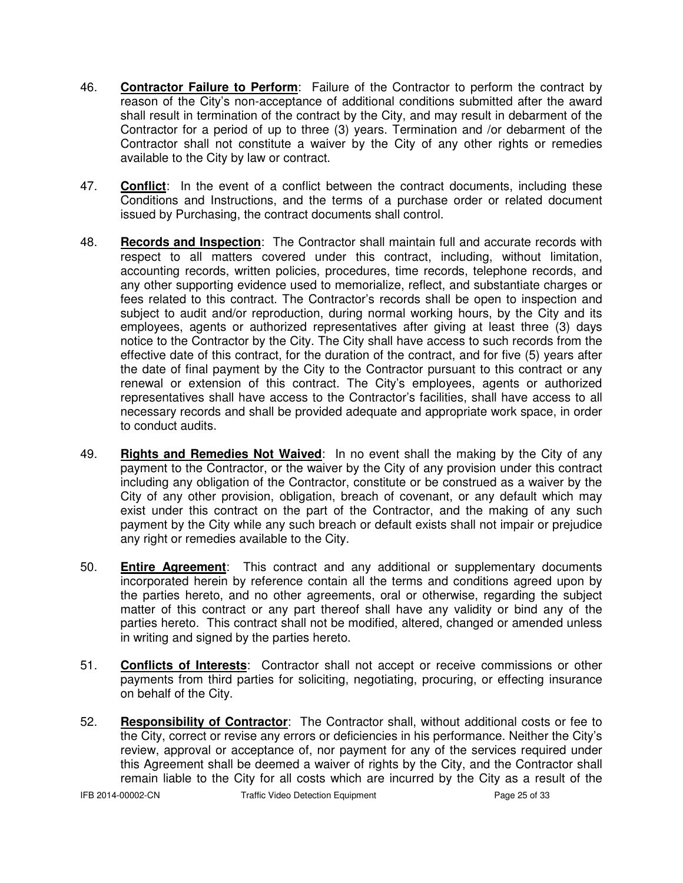- 46. **Contractor Failure to Perform**: Failure of the Contractor to perform the contract by reason of the City's non-acceptance of additional conditions submitted after the award shall result in termination of the contract by the City, and may result in debarment of the Contractor for a period of up to three (3) years. Termination and /or debarment of the Contractor shall not constitute a waiver by the City of any other rights or remedies available to the City by law or contract.
- 47. **Conflict**: In the event of a conflict between the contract documents, including these Conditions and Instructions, and the terms of a purchase order or related document issued by Purchasing, the contract documents shall control.
- 48. **Records and Inspection**: The Contractor shall maintain full and accurate records with respect to all matters covered under this contract, including, without limitation, accounting records, written policies, procedures, time records, telephone records, and any other supporting evidence used to memorialize, reflect, and substantiate charges or fees related to this contract. The Contractor's records shall be open to inspection and subject to audit and/or reproduction, during normal working hours, by the City and its employees, agents or authorized representatives after giving at least three (3) days notice to the Contractor by the City. The City shall have access to such records from the effective date of this contract, for the duration of the contract, and for five (5) years after the date of final payment by the City to the Contractor pursuant to this contract or any renewal or extension of this contract. The City's employees, agents or authorized representatives shall have access to the Contractor's facilities, shall have access to all necessary records and shall be provided adequate and appropriate work space, in order to conduct audits.
- 49. **Rights and Remedies Not Waived**: In no event shall the making by the City of any payment to the Contractor, or the waiver by the City of any provision under this contract including any obligation of the Contractor, constitute or be construed as a waiver by the City of any other provision, obligation, breach of covenant, or any default which may exist under this contract on the part of the Contractor, and the making of any such payment by the City while any such breach or default exists shall not impair or prejudice any right or remedies available to the City.
- 50. **Entire Agreement**: This contract and any additional or supplementary documents incorporated herein by reference contain all the terms and conditions agreed upon by the parties hereto, and no other agreements, oral or otherwise, regarding the subject matter of this contract or any part thereof shall have any validity or bind any of the parties hereto. This contract shall not be modified, altered, changed or amended unless in writing and signed by the parties hereto.
- 51. **Conflicts of Interests**: Contractor shall not accept or receive commissions or other payments from third parties for soliciting, negotiating, procuring, or effecting insurance on behalf of the City.
- 52. **Responsibility of Contractor**: The Contractor shall, without additional costs or fee to the City, correct or revise any errors or deficiencies in his performance. Neither the City's review, approval or acceptance of, nor payment for any of the services required under this Agreement shall be deemed a waiver of rights by the City, and the Contractor shall remain liable to the City for all costs which are incurred by the City as a result of the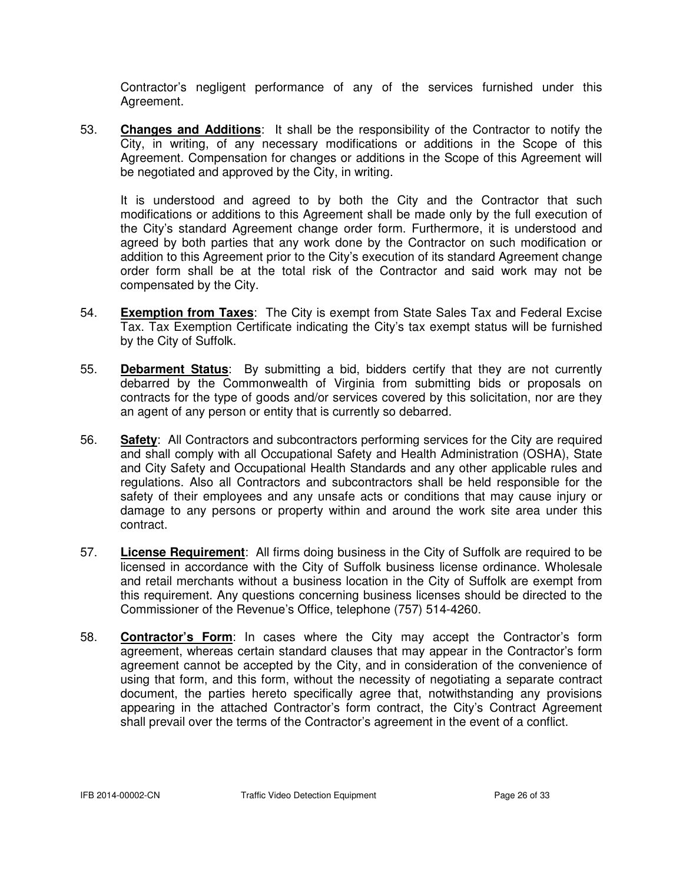Contractor's negligent performance of any of the services furnished under this Agreement.

53. **Changes and Additions**: It shall be the responsibility of the Contractor to notify the City, in writing, of any necessary modifications or additions in the Scope of this Agreement. Compensation for changes or additions in the Scope of this Agreement will be negotiated and approved by the City, in writing.

 It is understood and agreed to by both the City and the Contractor that such modifications or additions to this Agreement shall be made only by the full execution of the City's standard Agreement change order form. Furthermore, it is understood and agreed by both parties that any work done by the Contractor on such modification or addition to this Agreement prior to the City's execution of its standard Agreement change order form shall be at the total risk of the Contractor and said work may not be compensated by the City.

- 54. **Exemption from Taxes**: The City is exempt from State Sales Tax and Federal Excise Tax. Tax Exemption Certificate indicating the City's tax exempt status will be furnished by the City of Suffolk.
- 55. **Debarment Status**: By submitting a bid, bidders certify that they are not currently debarred by the Commonwealth of Virginia from submitting bids or proposals on contracts for the type of goods and/or services covered by this solicitation, nor are they an agent of any person or entity that is currently so debarred.
- 56. **Safety**: All Contractors and subcontractors performing services for the City are required and shall comply with all Occupational Safety and Health Administration (OSHA), State and City Safety and Occupational Health Standards and any other applicable rules and regulations. Also all Contractors and subcontractors shall be held responsible for the safety of their employees and any unsafe acts or conditions that may cause injury or damage to any persons or property within and around the work site area under this contract.
- 57. **License Requirement**: All firms doing business in the City of Suffolk are required to be licensed in accordance with the City of Suffolk business license ordinance. Wholesale and retail merchants without a business location in the City of Suffolk are exempt from this requirement. Any questions concerning business licenses should be directed to the Commissioner of the Revenue's Office, telephone (757) 514-4260.
- 58. **Contractor's Form**: In cases where the City may accept the Contractor's form agreement, whereas certain standard clauses that may appear in the Contractor's form agreement cannot be accepted by the City, and in consideration of the convenience of using that form, and this form, without the necessity of negotiating a separate contract document, the parties hereto specifically agree that, notwithstanding any provisions appearing in the attached Contractor's form contract, the City's Contract Agreement shall prevail over the terms of the Contractor's agreement in the event of a conflict.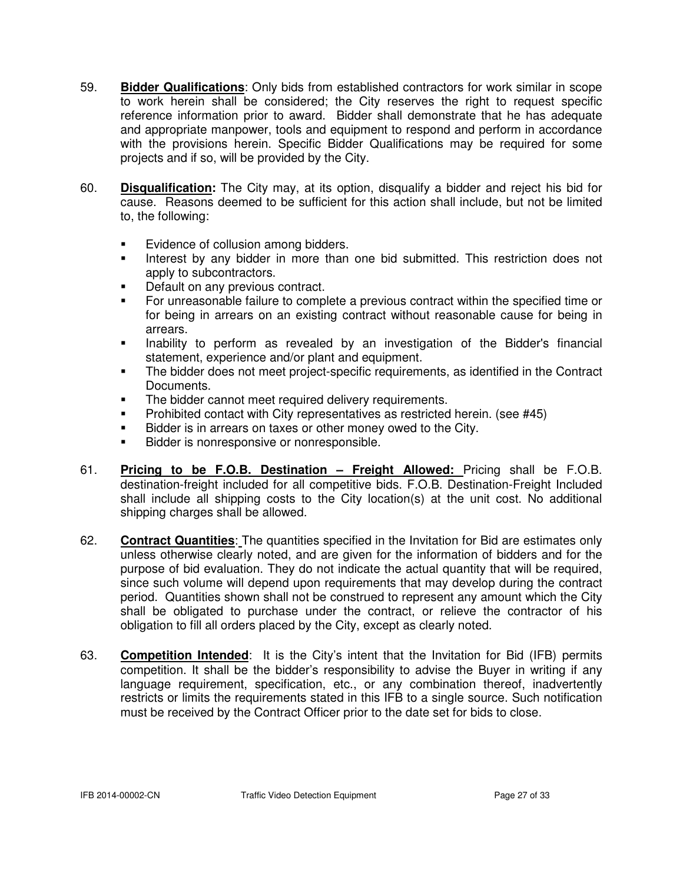- 59. **Bidder Qualifications**: Only bids from established contractors for work similar in scope to work herein shall be considered; the City reserves the right to request specific reference information prior to award. Bidder shall demonstrate that he has adequate and appropriate manpower, tools and equipment to respond and perform in accordance with the provisions herein. Specific Bidder Qualifications may be required for some projects and if so, will be provided by the City.
- 60. **Disqualification:** The City may, at its option, disqualify a bidder and reject his bid for cause. Reasons deemed to be sufficient for this action shall include, but not be limited to, the following:
	- -Evidence of collusion among bidders.
	- - Interest by any bidder in more than one bid submitted. This restriction does not apply to subcontractors.
	- -Default on any previous contract.
	- - For unreasonable failure to complete a previous contract within the specified time or for being in arrears on an existing contract without reasonable cause for being in arrears.
	- - Inability to perform as revealed by an investigation of the Bidder's financial statement, experience and/or plant and equipment.
	- - The bidder does not meet project-specific requirements, as identified in the Contract Documents.
	- -The bidder cannot meet required delivery requirements.
	- -Prohibited contact with City representatives as restricted herein. (see #45)
	- -Bidder is in arrears on taxes or other money owed to the City.
	- -Bidder is nonresponsive or nonresponsible.
- 61. **Pricing to be F.O.B. Destination Freight Allowed:** Pricing shall be F.O.B. destination-freight included for all competitive bids. F.O.B. Destination-Freight Included shall include all shipping costs to the City location(s) at the unit cost. No additional shipping charges shall be allowed.
- 62. **Contract Quantities**: The quantities specified in the Invitation for Bid are estimates only unless otherwise clearly noted, and are given for the information of bidders and for the purpose of bid evaluation. They do not indicate the actual quantity that will be required, since such volume will depend upon requirements that may develop during the contract period. Quantities shown shall not be construed to represent any amount which the City shall be obligated to purchase under the contract, or relieve the contractor of his obligation to fill all orders placed by the City, except as clearly noted.
- 63. **Competition Intended**: It is the City's intent that the Invitation for Bid (IFB) permits competition. It shall be the bidder's responsibility to advise the Buyer in writing if any language requirement, specification, etc., or any combination thereof, inadvertently restricts or limits the requirements stated in this IFB to a single source. Such notification must be received by the Contract Officer prior to the date set for bids to close.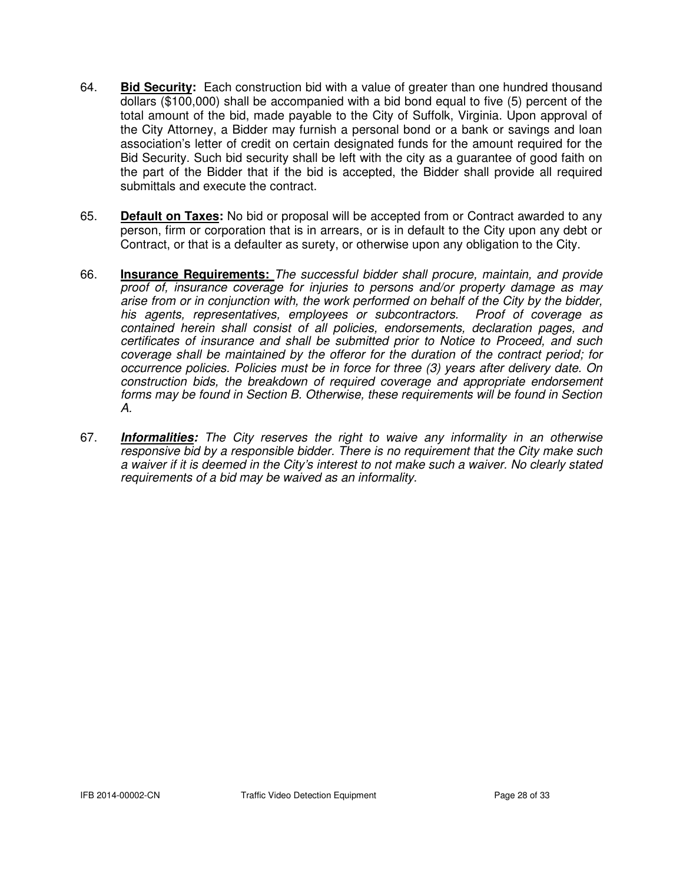- 64. **Bid Security:** Each construction bid with a value of greater than one hundred thousand dollars (\$100,000) shall be accompanied with a bid bond equal to five (5) percent of the total amount of the bid, made payable to the City of Suffolk, Virginia. Upon approval of the City Attorney, a Bidder may furnish a personal bond or a bank or savings and loan association's letter of credit on certain designated funds for the amount required for the Bid Security. Such bid security shall be left with the city as a guarantee of good faith on the part of the Bidder that if the bid is accepted, the Bidder shall provide all required submittals and execute the contract.
- 65. **Default on Taxes:** No bid or proposal will be accepted from or Contract awarded to any person, firm or corporation that is in arrears, or is in default to the City upon any debt or Contract, or that is a defaulter as surety, or otherwise upon any obligation to the City.
- 66. **Insurance Requirements:** The successful bidder shall procure, maintain, and provide proof of, insurance coverage for injuries to persons and/or property damage as may arise from or in conjunction with, the work performed on behalf of the City by the bidder, his agents, representatives, employees or subcontractors. Proof of coverage as contained herein shall consist of all policies, endorsements, declaration pages, and certificates of insurance and shall be submitted prior to Notice to Proceed, and such coverage shall be maintained by the offeror for the duration of the contract period; for occurrence policies. Policies must be in force for three (3) years after delivery date. On construction bids, the breakdown of required coverage and appropriate endorsement forms may be found in Section B. Otherwise, these requirements will be found in Section A.
- 67. **Informalities:** The City reserves the right to waive any informality in an otherwise responsive bid by a responsible bidder. There is no requirement that the City make such a waiver if it is deemed in the City's interest to not make such a waiver. No clearly stated requirements of a bid may be waived as an informality.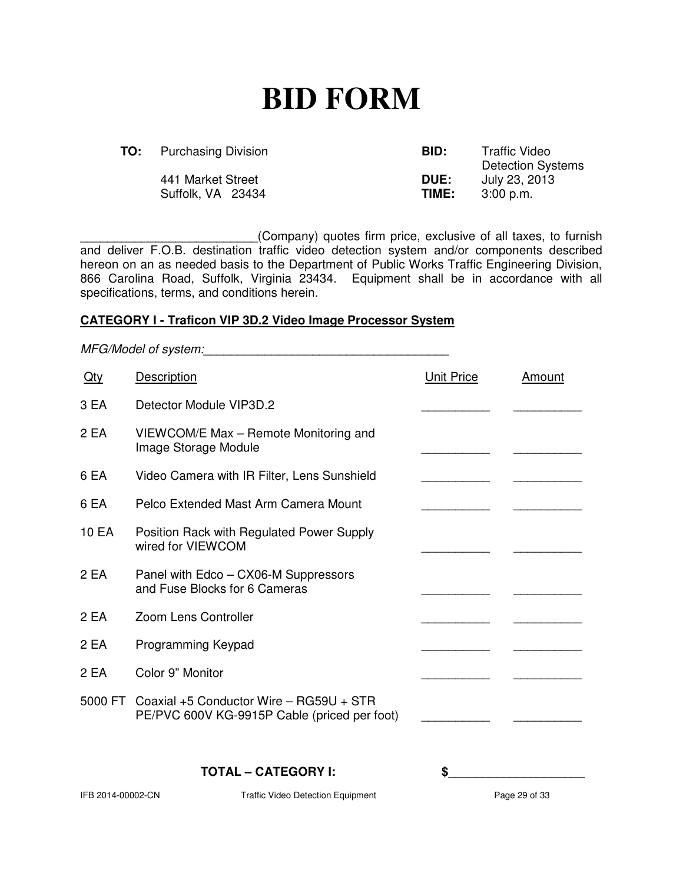## **BID FORM**

**TO:** Purchasing Division **BID:** Traffic VideoDetection Systems 441 Market Street **DUE:** July 23, 2013 Suffolk, VA 23434 **TIME:** 3:00 p.m.

\_\_\_\_\_\_\_\_\_\_\_\_\_\_\_\_\_\_\_\_\_\_\_\_\_\_(Company) quotes firm price, exclusive of all taxes, to furnish and deliver F.O.B. destination traffic video detection system and/or components described hereon on an as needed basis to the Department of Public Works Traffic Engineering Division, 866 Carolina Road, Suffolk, Virginia 23434. Equipment shall be in accordance with all specifications, terms, and conditions herein.

#### **CATEGORY I - Traficon VIP 3D.2 Video Image Processor System**

MFG/Model of system: **Oty** Description **Description Description Description Description Description** 3 EA Detector Module VIP3D.2 2 EA VIEWCOM/E Max – Remote Monitoring and Image Storage Module 6 EA Video Camera with IR Filter, Lens Sunshield 6 EA Pelco Extended Mast Arm Camera Mount 10 EA Position Rack with Regulated Power Supply wired for VIEWCOM 2 EA Panel with Edco – CX06-M Suppressors and Fuse Blocks for 6 Cameras 2 EA Zoom Lens Controller 2 EA Programming Keypad 2 EA Color 9" Monitor 5000 FT Coaxial +5 Conductor Wire – RG59U + STR PE/PVC 600V KG-9915P Cable (priced per foot) **TOTAL – CATEGORY I: \$\_\_\_\_\_\_\_\_\_\_\_\_\_\_\_\_\_\_\_\_**

IFB 2014-00002-CN Traffic Video Detection Equipment Page 29 of 33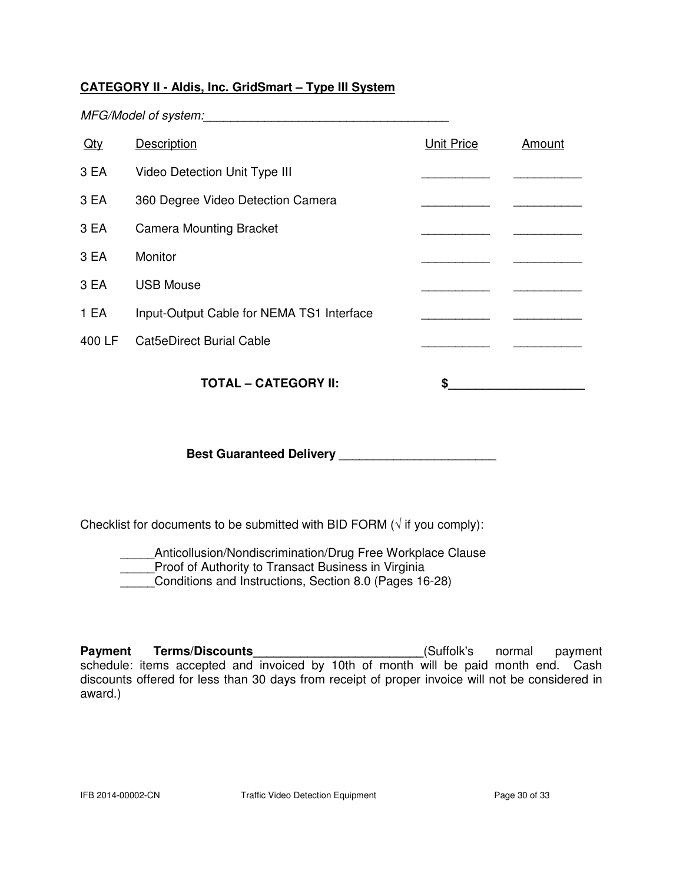### **CATEGORY II - Aldis, Inc. GridSmart – Type III System**

MFG/Model of system:

| $Q$ ty | Description                               | <b>Unit Price</b> | Amount |
|--------|-------------------------------------------|-------------------|--------|
| 3 EA   | Video Detection Unit Type III             |                   |        |
| 3 EA   | 360 Degree Video Detection Camera         |                   |        |
| 3 EA   | <b>Camera Mounting Bracket</b>            |                   |        |
| 3 EA   | Monitor                                   |                   |        |
| 3 EA   | <b>USB Mouse</b>                          |                   |        |
| 1 EA   | Input-Output Cable for NEMA TS1 Interface |                   |        |
| 400 LF | <b>Cat5eDirect Burial Cable</b>           |                   |        |
|        | <b>TOTAL - CATEGORY II:</b>               | S                 |        |

**Best Guaranteed Delivery \_\_\_\_\_\_\_\_\_\_\_\_\_\_\_\_\_\_\_\_\_\_\_** 

Checklist for documents to be submitted with BID FORM ( $\sqrt{ }$  if you comply):

Anticollusion/Nondiscrimination/Drug Free Workplace Clause Proof of Authority to Transact Business in Virginia \_\_\_\_\_Conditions and Instructions, Section 8.0 (Pages 16-28)

Payment Terms/Discounts\_\_\_\_\_\_\_\_\_\_\_\_\_\_\_\_\_\_\_\_\_\_\_\_\_\_\_\_\_(Suffolk's normal payment schedule: items accepted and invoiced by 10th of month will be paid month end. Cash discounts offered for less than 30 days from receipt of proper invoice will not be considered in award.)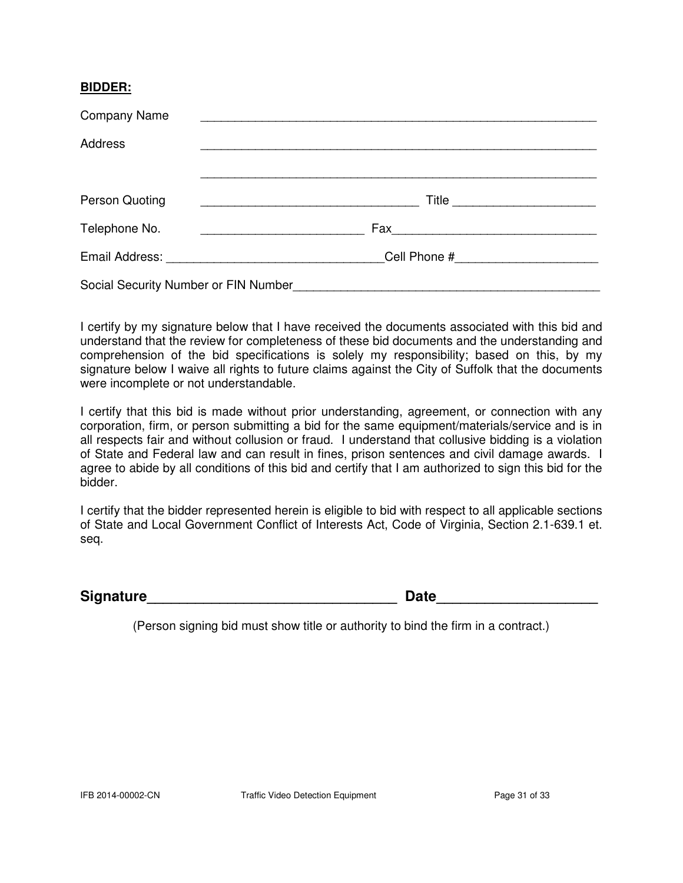#### **BIDDER:**

| <b>Company Name</b>                  | <u> 1989 - Johann Stoff, amerikansk politiker (d. 1989)</u>          |  |  |  |  |
|--------------------------------------|----------------------------------------------------------------------|--|--|--|--|
| <b>Address</b>                       |                                                                      |  |  |  |  |
|                                      |                                                                      |  |  |  |  |
| Person Quoting                       | Title<br><u> 2008 - Johann Stoff, amerikansk politiker (d. 1982)</u> |  |  |  |  |
| Telephone No.                        |                                                                      |  |  |  |  |
|                                      | Cell Phone #                                                         |  |  |  |  |
| Social Security Number or FIN Number |                                                                      |  |  |  |  |

I certify by my signature below that I have received the documents associated with this bid and understand that the review for completeness of these bid documents and the understanding and comprehension of the bid specifications is solely my responsibility; based on this, by my signature below I waive all rights to future claims against the City of Suffolk that the documents were incomplete or not understandable.

I certify that this bid is made without prior understanding, agreement, or connection with any corporation, firm, or person submitting a bid for the same equipment/materials/service and is in all respects fair and without collusion or fraud. I understand that collusive bidding is a violation of State and Federal law and can result in fines, prison sentences and civil damage awards. I agree to abide by all conditions of this bid and certify that I am authorized to sign this bid for the bidder.

I certify that the bidder represented herein is eligible to bid with respect to all applicable sections of State and Local Government Conflict of Interests Act, Code of Virginia, Section 2.1-639.1 et. seq.

**Signature Construction Construction Construction Construction Construction Construction Construction Construction Construction Construction Construction Construction Construction Construction Construction Construction C** 

(Person signing bid must show title or authority to bind the firm in a contract.)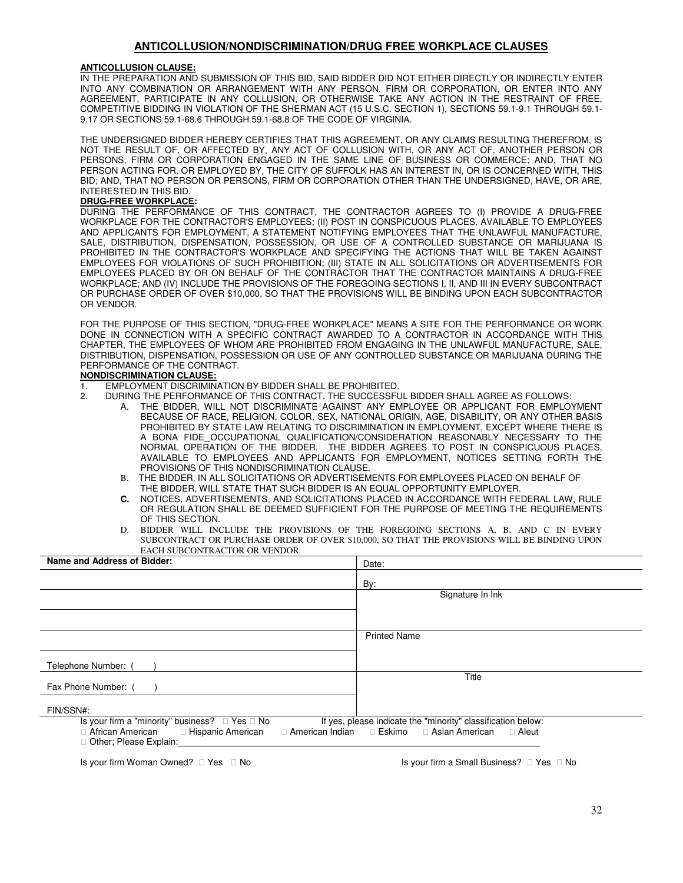#### **ANTICOLLUSION/NONDISCRIMINATION/DRUG FREE WORKPLACE CLAUSES**

#### **ANTICOLLUSION CLAUSE:**

IN THE PREPARATION AND SUBMISSION OF THIS BID, SAID BIDDER DID NOT EITHER DIRECTLY OR INDIRECTLY ENTER INTO ANY COMBINATION OR ARRANGEMENT WITH ANY PERSON, FIRM OR CORPORATION, OR ENTER INTO ANY AGREEMENT, PARTICIPATE IN ANY COLLUSION, OR OTHERWISE TAKE ANY ACTION IN THE RESTRAINT OF FREE, COMPETITIVE BIDDING IN VIOLATION OF THE SHERMAN ACT (15 U.S.C. SECTION 1), SECTIONS 59.1-9.1 THROUGH 59.1- 9.17 OR SECTIONS 59.1-68.6 THROUGH 59.1-68.8 OF THE CODE OF VIRGINIA.

THE UNDERSIGNED BIDDER HEREBY CERTIFIES THAT THIS AGREEMENT, OR ANY CLAIMS RESULTING THEREFROM, IS NOT THE RESULT OF, OR AFFECTED BY, ANY ACT OF COLLUSION WITH, OR ANY ACT OF, ANOTHER PERSON OR PERSONS, FIRM OR CORPORATION ENGAGED IN THE SAME LINE OF BUSINESS OR COMMERCE; AND, THAT NO PERSON ACTING FOR, OR EMPLOYED BY, THE CITY OF SUFFOLK HAS AN INTEREST IN, OR IS CONCERNED WITH, THIS BID; AND, THAT NO PERSON OR PERSONS, FIRM OR CORPORATION OTHER THAN THE UNDERSIGNED, HAVE, OR ARE, INTERESTED IN THIS BID.

#### **DRUG-FREE WORKPLACE:**

DURING THE PERFORMANCE OF THIS CONTRACT, THE CONTRACTOR AGREES TO (I) PROVIDE A DRUG-FREE WORKPLACE FOR THE CONTRACTOR'S EMPLOYEES; (II) POST IN CONSPICUOUS PLACES, AVAILABLE TO EMPLOYEES AND APPLICANTS FOR EMPLOYMENT, A STATEMENT NOTIFYING EMPLOYEES THAT THE UNLAWFUL MANUFACTURE, SALE, DISTRIBUTION, DISPENSATION, POSSESSION, OR USE OF A CONTROLLED SUBSTANCE OR MARIJUANA IS PROHIBITED IN THE CONTRACTOR'S WORKPLACE AND SPECIFYING THE ACTIONS THAT WILL BE TAKEN AGAINST EMPLOYEES FOR VIOLATIONS OF SUCH PROHIBITION; (III) STATE IN ALL SOLICITATIONS OR ADVERTISEMENTS FOR EMPLOYEES PLACED BY OR ON BEHALF OF THE CONTRACTOR THAT THE CONTRACTOR MAINTAINS A DRUG-FREE WORKPLACE; AND (IV) INCLUDE THE PROVISIONS OF THE FOREGOING SECTIONS I, II, AND III IN EVERY SUBCONTRACT OR PURCHASE ORDER OF OVER \$10,000, SO THAT THE PROVISIONS WILL BE BINDING UPON EACH SUBCONTRACTOR OR VENDOR.

FOR THE PURPOSE OF THIS SECTION, "DRUG-FREE WORKPLACE" MEANS A SITE FOR THE PERFORMANCE OR WORK DONE IN CONNECTION WITH A SPECIFIC CONTRACT AWARDED TO A CONTRACTOR IN ACCORDANCE WITH THIS CHAPTER, THE EMPLOYEES OF WHOM ARE PROHIBITED FROM ENGAGING IN THE UNLAWFUL MANUFACTURE, SALE, DISTRIBUTION, DISPENSATION, POSSESSION OR USE OF ANY CONTROLLED SUBSTANCE OR MARIJUANA DURING THE PERFORMANCE OF THE CONTRACT.

#### **NONDISCRIMINATION CLAUSE:**

- 1. EMPLOYMENT DISCRIMINATION BY BIDDER SHALL BE PROHIBITED.
- 2. DURING THE PERFORMANCE OF THIS CONTRACT, THE SUCCESSFUL BIDDER SHALL AGREE AS FOLLOWS:
	- A. THE BIDDER, WILL NOT DISCRIMINATE AGAINST ANY EMPLOYEE OR APPLICANT FOR EMPLOYMENT BECAUSE OF RACE, RELIGION, COLOR, SEX, NATIONAL ORIGIN, AGE, DISABILITY, OR ANY OTHER BASIS PROHIBITED BY STATE LAW RELATING TO DISCRIMINATION IN EMPLOYMENT, EXCEPT WHERE THERE IS A BONA FIDE\_OCCUPATIONAL QUALIFICATION/CONSIDERATION REASONABLY NECESSARY TO THE NORMAL OPERATION OF THE BIDDER. THE BIDDER AGREES TO POST IN CONSPICUOUS PLACES, AVAILABLE TO EMPLOYEES AND APPLICANTS FOR EMPLOYMENT, NOTICES SETTING FORTH THE PROVISIONS OF THIS NONDISCRIMINATION CLAUSE.
	- B. THE BIDDER, IN ALL SOLICITATIONS OR ADVERTISEMENTS FOR EMPLOYEES PLACED ON BEHALF OF THE BIDDER, WILL STATE THAT SUCH BIDDER IS AN EQUAL OPPORTUNITY EMPLOYER.
	- **C.** NOTICES, ADVERTISEMENTS, AND SOLICITATIONS PLACED IN ACCORDANCE WITH FEDERAL LAW, RULE OR REGULATION SHALL BE DEEMED SUFFICIENT FOR THE PURPOSE OF MEETING THE REQUIREMENTS OF THIS SECTION.
	- D. BIDDER WILL INCLUDE THE PROVISIONS OF THE FOREGOING SECTIONS A, B, AND C IN EVERY SUBCONTRACT OR PURCHASE ORDER OF OVER \$10,000, SO THAT THE PROVISIONS WILL BE BINDING UPON EACH SUBCONTRACTOR OR VENDOR.

| Name and Address of Bidder:                                                                                                                                                                                                                                         | Date:               |
|---------------------------------------------------------------------------------------------------------------------------------------------------------------------------------------------------------------------------------------------------------------------|---------------------|
|                                                                                                                                                                                                                                                                     | By:                 |
|                                                                                                                                                                                                                                                                     | Signature In Ink    |
|                                                                                                                                                                                                                                                                     |                     |
|                                                                                                                                                                                                                                                                     | <b>Printed Name</b> |
| Telephone Number: (                                                                                                                                                                                                                                                 |                     |
| Fax Phone Number: (                                                                                                                                                                                                                                                 | Title               |
| FIN/SSN#:                                                                                                                                                                                                                                                           |                     |
| Is your firm a "minority" business? $\Box$ Yes $\Box$ No<br>If yes, please indicate the "minority" classification below:<br>African American <b>Example 2 Hispanic American</b><br>□ American Indian □ Eskimo □ Asian American<br>□ Aleut<br>Other; Please Explain: |                     |
|                                                                                                                                                                                                                                                                     |                     |

Is your firm Woman Owned?  $\square$  Yes  $\square$  No  $\square$  Is your firm a Small Business?  $\square$  Yes  $\square$  No